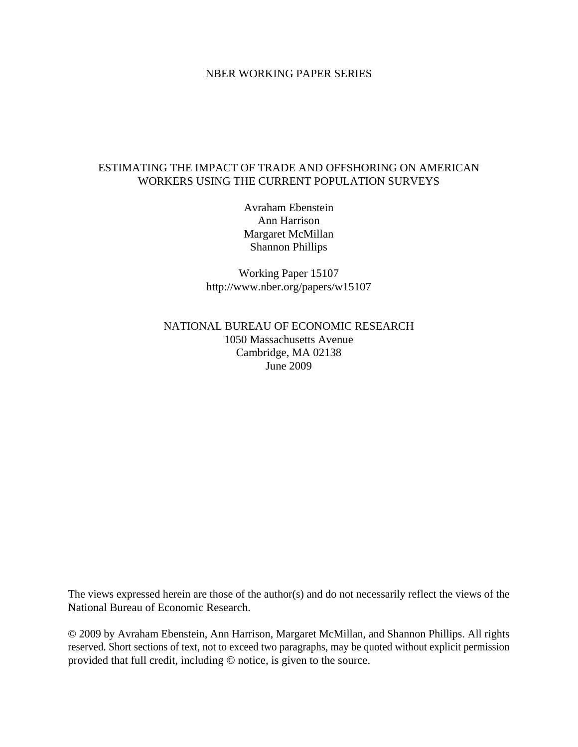### NBER WORKING PAPER SERIES

### ESTIMATING THE IMPACT OF TRADE AND OFFSHORING ON AMERICAN WORKERS USING THE CURRENT POPULATION SURVEYS

Avraham Ebenstein Ann Harrison Margaret McMillan Shannon Phillips

Working Paper 15107 http://www.nber.org/papers/w15107

NATIONAL BUREAU OF ECONOMIC RESEARCH 1050 Massachusetts Avenue Cambridge, MA 02138 June 2009

The views expressed herein are those of the author(s) and do not necessarily reflect the views of the National Bureau of Economic Research.

© 2009 by Avraham Ebenstein, Ann Harrison, Margaret McMillan, and Shannon Phillips. All rights reserved. Short sections of text, not to exceed two paragraphs, may be quoted without explicit permission provided that full credit, including © notice, is given to the source.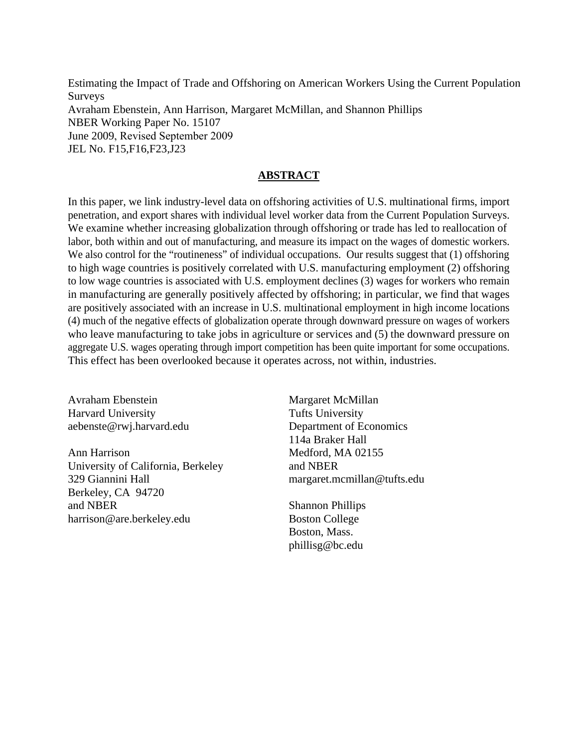Estimating the Impact of Trade and Offshoring on American Workers Using the Current Population Surveys Avraham Ebenstein, Ann Harrison, Margaret McMillan, and Shannon Phillips NBER Working Paper No. 15107 June 2009, Revised September 2009 JEL No. F15,F16,F23,J23

# **ABSTRACT**

In this paper, we link industry-level data on offshoring activities of U.S. multinational firms, import penetration, and export shares with individual level worker data from the Current Population Surveys. We examine whether increasing globalization through offshoring or trade has led to reallocation of labor, both within and out of manufacturing, and measure its impact on the wages of domestic workers. We also control for the "routineness" of individual occupations. Our results suggest that (1) offshoring to high wage countries is positively correlated with U.S. manufacturing employment (2) offshoring to low wage countries is associated with U.S. employment declines (3) wages for workers who remain in manufacturing are generally positively affected by offshoring; in particular, we find that wages are positively associated with an increase in U.S. multinational employment in high income locations (4) much of the negative effects of globalization operate through downward pressure on wages of workers who leave manufacturing to take jobs in agriculture or services and (5) the downward pressure on aggregate U.S. wages operating through import competition has been quite important for some occupations. This effect has been overlooked because it operates across, not within, industries.

Avraham Ebenstein Harvard University aebenste@rwj.harvard.edu

Ann Harrison University of California, Berkeley 329 Giannini Hall Berkeley, CA 94720 and NBER harrison@are.berkeley.edu

Margaret McMillan Tufts University Department of Economics 114a Braker Hall Medford, MA 02155 and NBER margaret.mcmillan@tufts.edu

Shannon Phillips Boston College Boston, Mass. phillisg@bc.edu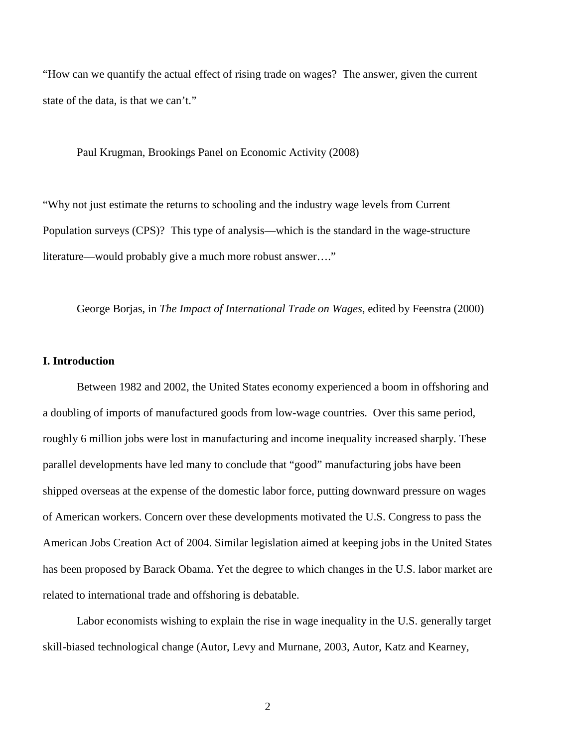"How can we quantify the actual effect of rising trade on wages? The answer, given the current state of the data, is that we can't."

Paul Krugman, Brookings Panel on Economic Activity (2008)

"Why not just estimate the returns to schooling and the industry wage levels from Current Population surveys (CPS)? This type of analysis—which is the standard in the wage-structure literature—would probably give a much more robust answer…."

George Borjas, in *The Impact of International Trade on Wages*, edited by Feenstra (2000)

### **I. Introduction**

Between 1982 and 2002, the United States economy experienced a boom in offshoring and a doubling of imports of manufactured goods from low-wage countries. Over this same period, roughly 6 million jobs were lost in manufacturing and income inequality increased sharply. These parallel developments have led many to conclude that "good" manufacturing jobs have been shipped overseas at the expense of the domestic labor force, putting downward pressure on wages of American workers. Concern over these developments motivated the U.S. Congress to pass the American Jobs Creation Act of 2004. Similar legislation aimed at keeping jobs in the United States has been proposed by Barack Obama. Yet the degree to which changes in the U.S. labor market are related to international trade and offshoring is debatable.

Labor economists wishing to explain the rise in wage inequality in the U.S. generally target skill-biased technological change (Autor, Levy and Murnane, 2003, Autor, Katz and Kearney,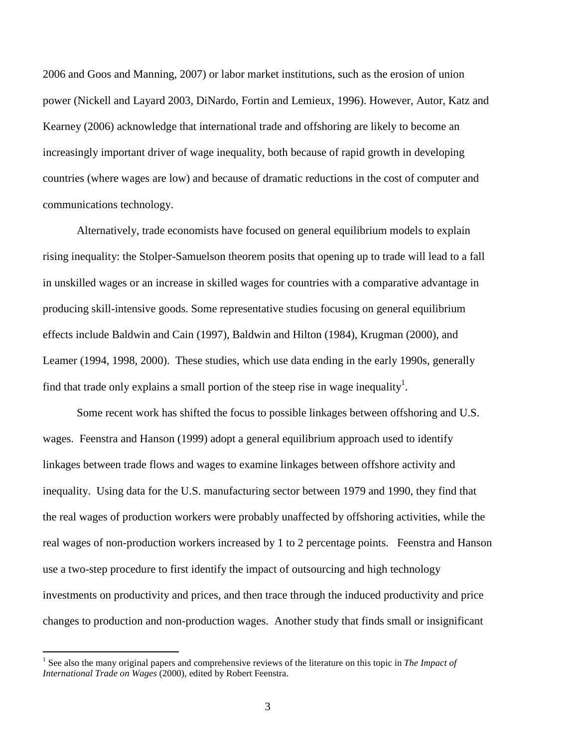2006 and Goos and Manning, 2007) or labor market institutions, such as the erosion of union power (Nickell and Layard 2003, DiNardo, Fortin and Lemieux, 1996). However, Autor, Katz and Kearney (2006) acknowledge that international trade and offshoring are likely to become an increasingly important driver of wage inequality, both because of rapid growth in developing countries (where wages are low) and because of dramatic reductions in the cost of computer and communications technology.

Alternatively, trade economists have focused on general equilibrium models to explain rising inequality: the Stolper-Samuelson theorem posits that opening up to trade will lead to a fall in unskilled wages or an increase in skilled wages for countries with a comparative advantage in producing skill-intensive goods. Some representative studies focusing on general equilibrium effects include Baldwin and Cain (1997), Baldwin and Hilton (1984), Krugman (2000), and Leamer (1994, 1998, 2000). These studies, which use data ending in the early 1990s, generally find that trade only explains a small portion of the steep rise in wage inequality<sup>1</sup>.

Some recent work has shifted the focus to possible linkages between offshoring and U.S. wages. Feenstra and Hanson (1999) adopt a general equilibrium approach used to identify linkages between trade flows and wages to examine linkages between offshore activity and inequality. Using data for the U.S. manufacturing sector between 1979 and 1990, they find that the real wages of production workers were probably unaffected by offshoring activities, while the real wages of non-production workers increased by 1 to 2 percentage points. Feenstra and Hanson use a two-step procedure to first identify the impact of outsourcing and high technology investments on productivity and prices, and then trace through the induced productivity and price changes to production and non-production wages. Another study that finds small or insignificant

 1 See also the many original papers and comprehensive reviews of the literature on this topic in *The Impact of International Trade on Wages* (2000), edited by Robert Feenstra.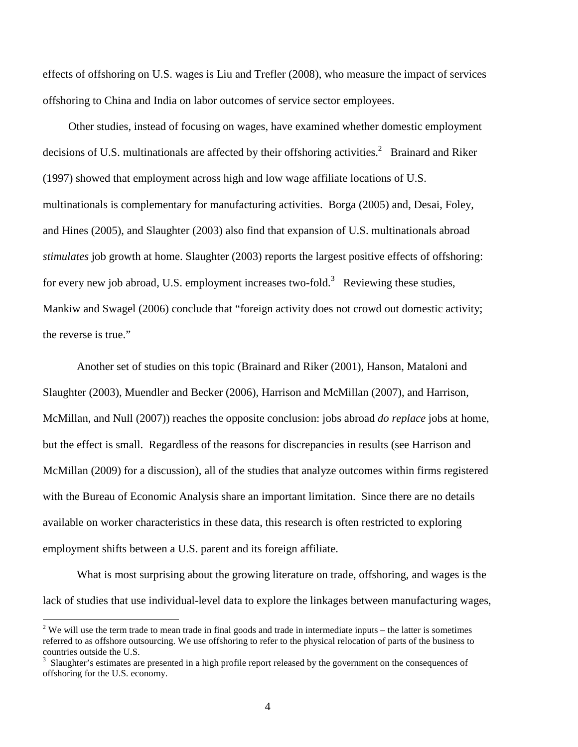effects of offshoring on U.S. wages is Liu and Trefler (2008), who measure the impact of services offshoring to China and India on labor outcomes of service sector employees.

 Other studies, instead of focusing on wages, have examined whether domestic employment decisions of U.S. multinationals are affected by their offshoring activities.<sup>2</sup> Brainard and Riker (1997) showed that employment across high and low wage affiliate locations of U.S. multinationals is complementary for manufacturing activities. Borga (2005) and, Desai, Foley, and Hines (2005), and Slaughter (2003) also find that expansion of U.S. multinationals abroad *stimulates* job growth at home. Slaughter (2003) reports the largest positive effects of offshoring: for every new job abroad, U.S. employment increases two-fold.<sup>3</sup> Reviewing these studies, Mankiw and Swagel (2006) conclude that "foreign activity does not crowd out domestic activity; the reverse is true."

Another set of studies on this topic (Brainard and Riker (2001), Hanson, Mataloni and Slaughter (2003), Muendler and Becker (2006), Harrison and McMillan (2007), and Harrison, McMillan, and Null (2007)) reaches the opposite conclusion: jobs abroad *do replace* jobs at home, but the effect is small. Regardless of the reasons for discrepancies in results (see Harrison and McMillan (2009) for a discussion), all of the studies that analyze outcomes within firms registered with the Bureau of Economic Analysis share an important limitation. Since there are no details available on worker characteristics in these data, this research is often restricted to exploring employment shifts between a U.S. parent and its foreign affiliate.

What is most surprising about the growing literature on trade, offshoring, and wages is the lack of studies that use individual-level data to explore the linkages between manufacturing wages,

 $\frac{1}{2}$  We will use the term trade to mean trade in final goods and trade in intermediate inputs – the latter is sometimes referred to as offshore outsourcing. We use offshoring to refer to the physical relocation of parts of the business to countries outside the U.S.

<sup>3</sup> Slaughter's estimates are presented in a high profile report released by the government on the consequences of offshoring for the U.S. economy.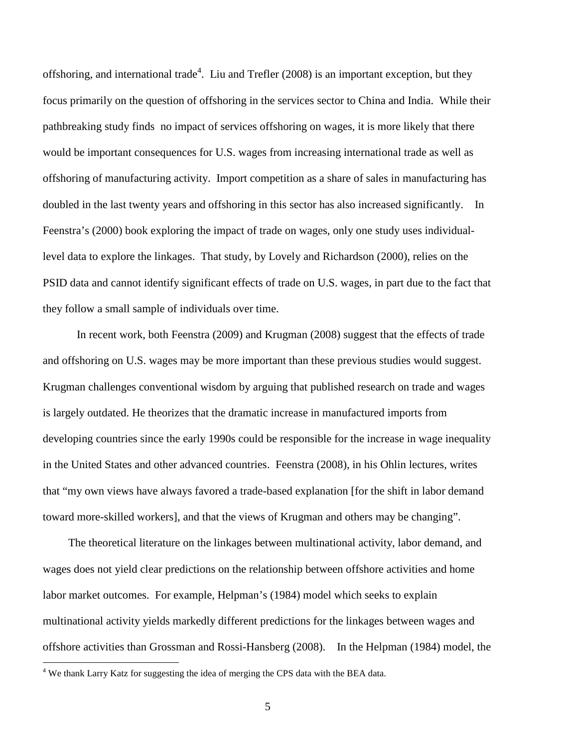offshoring, and international trade<sup>4</sup>. Liu and Trefler (2008) is an important exception, but they focus primarily on the question of offshoring in the services sector to China and India. While their pathbreaking study finds no impact of services offshoring on wages, it is more likely that there would be important consequences for U.S. wages from increasing international trade as well as offshoring of manufacturing activity. Import competition as a share of sales in manufacturing has doubled in the last twenty years and offshoring in this sector has also increased significantly. In Feenstra's (2000) book exploring the impact of trade on wages, only one study uses individuallevel data to explore the linkages. That study, by Lovely and Richardson (2000), relies on the PSID data and cannot identify significant effects of trade on U.S. wages, in part due to the fact that they follow a small sample of individuals over time.

In recent work, both Feenstra (2009) and Krugman (2008) suggest that the effects of trade and offshoring on U.S. wages may be more important than these previous studies would suggest. Krugman challenges conventional wisdom by arguing that published research on trade and wages is largely outdated. He theorizes that the dramatic increase in manufactured imports from developing countries since the early 1990s could be responsible for the increase in wage inequality in the United States and other advanced countries. Feenstra (2008), in his Ohlin lectures, writes that "my own views have always favored a trade-based explanation [for the shift in labor demand toward more-skilled workers], and that the views of Krugman and others may be changing".

 The theoretical literature on the linkages between multinational activity, labor demand, and wages does not yield clear predictions on the relationship between offshore activities and home labor market outcomes. For example, Helpman's (1984) model which seeks to explain multinational activity yields markedly different predictions for the linkages between wages and offshore activities than Grossman and Rossi-Hansberg (2008). In the Helpman (1984) model, the

<u>.</u>

<sup>&</sup>lt;sup>4</sup> We thank Larry Katz for suggesting the idea of merging the CPS data with the BEA data.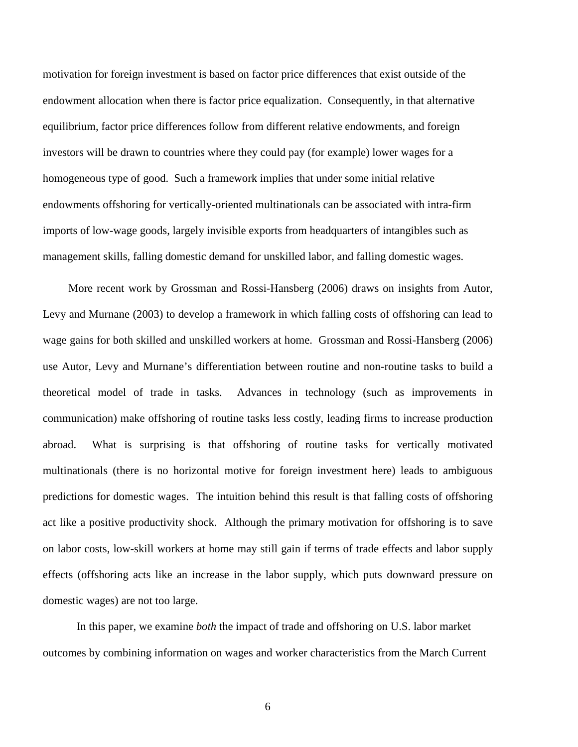motivation for foreign investment is based on factor price differences that exist outside of the endowment allocation when there is factor price equalization. Consequently, in that alternative equilibrium, factor price differences follow from different relative endowments, and foreign investors will be drawn to countries where they could pay (for example) lower wages for a homogeneous type of good. Such a framework implies that under some initial relative endowments offshoring for vertically-oriented multinationals can be associated with intra-firm imports of low-wage goods, largely invisible exports from headquarters of intangibles such as management skills, falling domestic demand for unskilled labor, and falling domestic wages.

 More recent work by Grossman and Rossi-Hansberg (2006) draws on insights from Autor, Levy and Murnane (2003) to develop a framework in which falling costs of offshoring can lead to wage gains for both skilled and unskilled workers at home. Grossman and Rossi-Hansberg (2006) use Autor, Levy and Murnane's differentiation between routine and non-routine tasks to build a theoretical model of trade in tasks. Advances in technology (such as improvements in communication) make offshoring of routine tasks less costly, leading firms to increase production abroad. What is surprising is that offshoring of routine tasks for vertically motivated multinationals (there is no horizontal motive for foreign investment here) leads to ambiguous predictions for domestic wages. The intuition behind this result is that falling costs of offshoring act like a positive productivity shock. Although the primary motivation for offshoring is to save on labor costs, low-skill workers at home may still gain if terms of trade effects and labor supply effects (offshoring acts like an increase in the labor supply, which puts downward pressure on domestic wages) are not too large.

In this paper, we examine *both* the impact of trade and offshoring on U.S. labor market outcomes by combining information on wages and worker characteristics from the March Current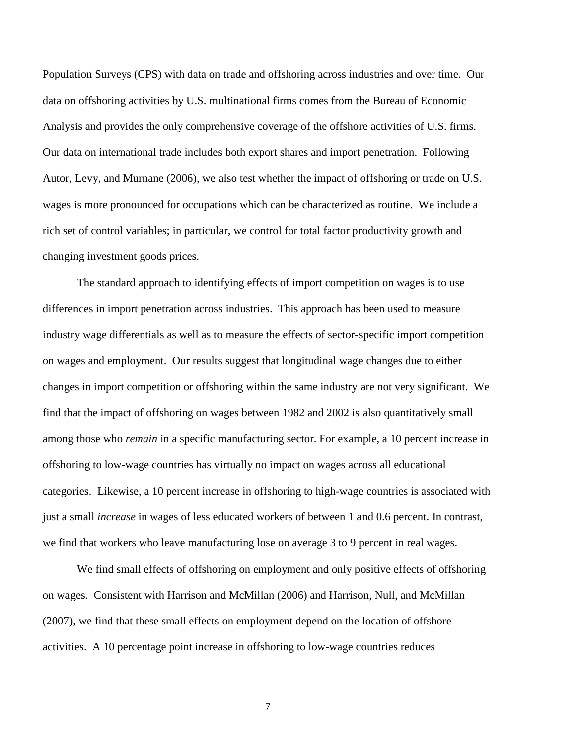Population Surveys (CPS) with data on trade and offshoring across industries and over time. Our data on offshoring activities by U.S. multinational firms comes from the Bureau of Economic Analysis and provides the only comprehensive coverage of the offshore activities of U.S. firms. Our data on international trade includes both export shares and import penetration. Following Autor, Levy, and Murnane (2006), we also test whether the impact of offshoring or trade on U.S. wages is more pronounced for occupations which can be characterized as routine. We include a rich set of control variables; in particular, we control for total factor productivity growth and changing investment goods prices.

The standard approach to identifying effects of import competition on wages is to use differences in import penetration across industries. This approach has been used to measure industry wage differentials as well as to measure the effects of sector-specific import competition on wages and employment. Our results suggest that longitudinal wage changes due to either changes in import competition or offshoring within the same industry are not very significant. We find that the impact of offshoring on wages between 1982 and 2002 is also quantitatively small among those who *remain* in a specific manufacturing sector. For example, a 10 percent increase in offshoring to low-wage countries has virtually no impact on wages across all educational categories. Likewise, a 10 percent increase in offshoring to high-wage countries is associated with just a small *increase* in wages of less educated workers of between 1 and 0.6 percent. In contrast, we find that workers who leave manufacturing lose on average 3 to 9 percent in real wages.

We find small effects of offshoring on employment and only positive effects of offshoring on wages. Consistent with Harrison and McMillan (2006) and Harrison, Null, and McMillan (2007), we find that these small effects on employment depend on the location of offshore activities. A 10 percentage point increase in offshoring to low-wage countries reduces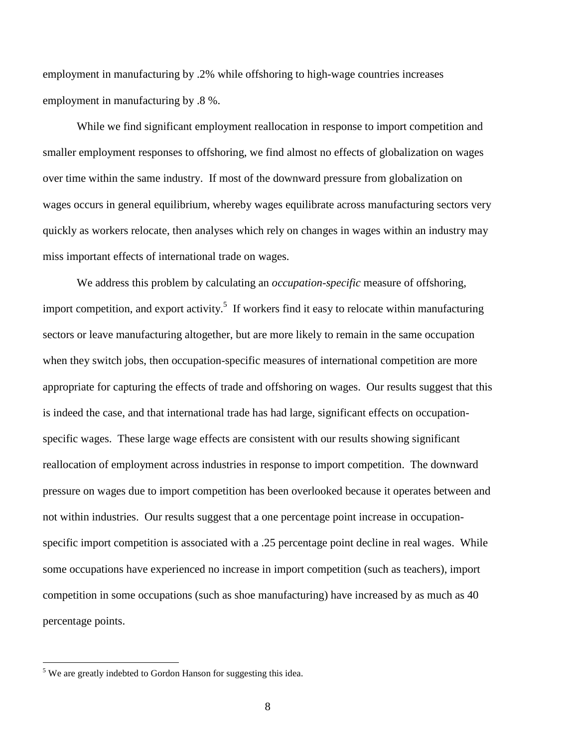employment in manufacturing by .2% while offshoring to high-wage countries increases employment in manufacturing by .8 %.

While we find significant employment reallocation in response to import competition and smaller employment responses to offshoring, we find almost no effects of globalization on wages over time within the same industry. If most of the downward pressure from globalization on wages occurs in general equilibrium, whereby wages equilibrate across manufacturing sectors very quickly as workers relocate, then analyses which rely on changes in wages within an industry may miss important effects of international trade on wages.

We address this problem by calculating an *occupation-specific* measure of offshoring, import competition, and export activity.<sup>5</sup> If workers find it easy to relocate within manufacturing sectors or leave manufacturing altogether, but are more likely to remain in the same occupation when they switch jobs, then occupation-specific measures of international competition are more appropriate for capturing the effects of trade and offshoring on wages. Our results suggest that this is indeed the case, and that international trade has had large, significant effects on occupationspecific wages. These large wage effects are consistent with our results showing significant reallocation of employment across industries in response to import competition. The downward pressure on wages due to import competition has been overlooked because it operates between and not within industries. Our results suggest that a one percentage point increase in occupationspecific import competition is associated with a .25 percentage point decline in real wages. While some occupations have experienced no increase in import competition (such as teachers), import competition in some occupations (such as shoe manufacturing) have increased by as much as 40 percentage points.

<u>.</u>

<sup>&</sup>lt;sup>5</sup> We are greatly indebted to Gordon Hanson for suggesting this idea.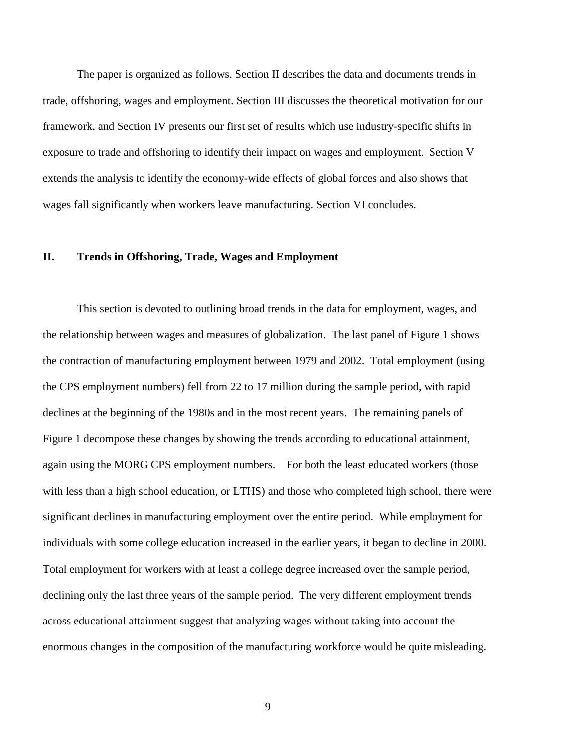The paper is organized as follows. Section II describes the data and documents trends in trade, offshoring, wages and employment. Section III discusses the theoretical motivation for our framework, and Section IV presents our first set of results which use industry-specific shifts in exposure to trade and offshoring to identify their impact on wages and employment. Section V extends the analysis to identify the economy-wide effects of global forces and also shows that wages fall significantly when workers leave manufacturing. Section VI concludes.

### **II. Trends in Offshoring, Trade, Wages and Employment**

This section is devoted to outlining broad trends in the data for employment, wages, and the relationship between wages and measures of globalization. The last panel of Figure 1 shows the contraction of manufacturing employment between 1979 and 2002. Total employment (using the CPS employment numbers) fell from 22 to 17 million during the sample period, with rapid declines at the beginning of the 1980s and in the most recent years. The remaining panels of Figure 1 decompose these changes by showing the trends according to educational attainment, again using the MORG CPS employment numbers. For both the least educated workers (those with less than a high school education, or LTHS) and those who completed high school, there were significant declines in manufacturing employment over the entire period. While employment for individuals with some college education increased in the earlier years, it began to decline in 2000. Total employment for workers with at least a college degree increased over the sample period, declining only the last three years of the sample period. The very different employment trends across educational attainment suggest that analyzing wages without taking into account the enormous changes in the composition of the manufacturing workforce would be quite misleading.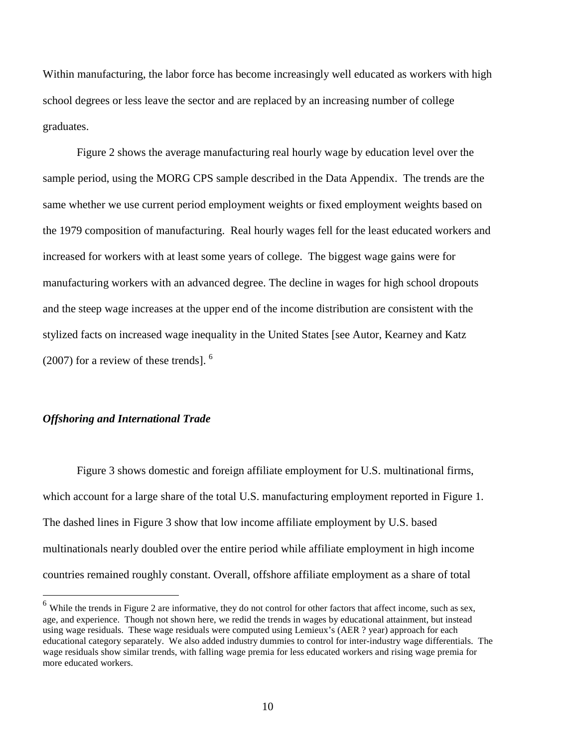Within manufacturing, the labor force has become increasingly well educated as workers with high school degrees or less leave the sector and are replaced by an increasing number of college graduates.

 Figure 2 shows the average manufacturing real hourly wage by education level over the sample period, using the MORG CPS sample described in the Data Appendix. The trends are the same whether we use current period employment weights or fixed employment weights based on the 1979 composition of manufacturing. Real hourly wages fell for the least educated workers and increased for workers with at least some years of college. The biggest wage gains were for manufacturing workers with an advanced degree. The decline in wages for high school dropouts and the steep wage increases at the upper end of the income distribution are consistent with the stylized facts on increased wage inequality in the United States [see Autor, Kearney and Katz  $(2007)$  for a review of these trends].  $<sup>6</sup>$ </sup>

#### *Offshoring and International Trade*

<u>.</u>

Figure 3 shows domestic and foreign affiliate employment for U.S. multinational firms, which account for a large share of the total U.S. manufacturing employment reported in Figure 1. The dashed lines in Figure 3 show that low income affiliate employment by U.S. based multinationals nearly doubled over the entire period while affiliate employment in high income countries remained roughly constant. Overall, offshore affiliate employment as a share of total

 $<sup>6</sup>$  While the trends in Figure 2 are informative, they do not control for other factors that affect income, such as sex,</sup> age, and experience. Though not shown here, we redid the trends in wages by educational attainment, but instead using wage residuals. These wage residuals were computed using Lemieux's (AER ? year) approach for each educational category separately. We also added industry dummies to control for inter-industry wage differentials. The wage residuals show similar trends, with falling wage premia for less educated workers and rising wage premia for more educated workers.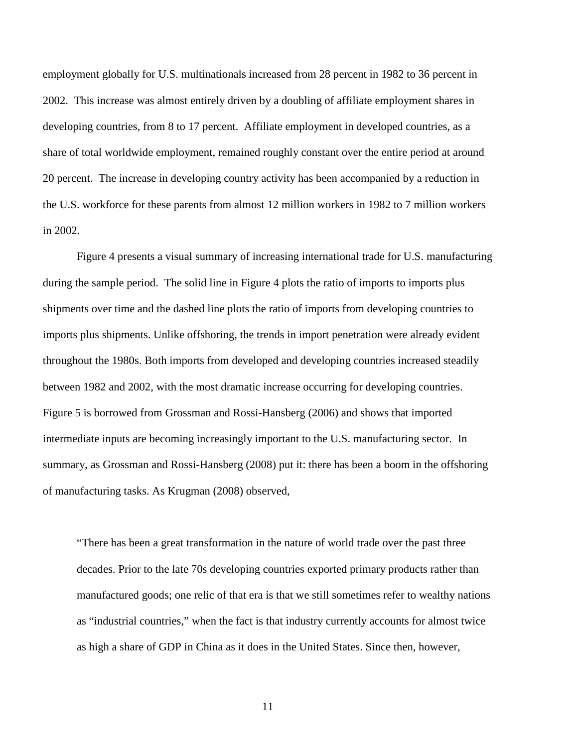employment globally for U.S. multinationals increased from 28 percent in 1982 to 36 percent in 2002. This increase was almost entirely driven by a doubling of affiliate employment shares in developing countries, from 8 to 17 percent. Affiliate employment in developed countries, as a share of total worldwide employment, remained roughly constant over the entire period at around 20 percent. The increase in developing country activity has been accompanied by a reduction in the U.S. workforce for these parents from almost 12 million workers in 1982 to 7 million workers in 2002.

Figure 4 presents a visual summary of increasing international trade for U.S. manufacturing during the sample period. The solid line in Figure 4 plots the ratio of imports to imports plus shipments over time and the dashed line plots the ratio of imports from developing countries to imports plus shipments. Unlike offshoring, the trends in import penetration were already evident throughout the 1980s. Both imports from developed and developing countries increased steadily between 1982 and 2002, with the most dramatic increase occurring for developing countries. Figure 5 is borrowed from Grossman and Rossi-Hansberg (2006) and shows that imported intermediate inputs are becoming increasingly important to the U.S. manufacturing sector. In summary, as Grossman and Rossi-Hansberg (2008) put it: there has been a boom in the offshoring of manufacturing tasks. As Krugman (2008) observed,

"There has been a great transformation in the nature of world trade over the past three decades. Prior to the late 70s developing countries exported primary products rather than manufactured goods; one relic of that era is that we still sometimes refer to wealthy nations as "industrial countries," when the fact is that industry currently accounts for almost twice as high a share of GDP in China as it does in the United States. Since then, however,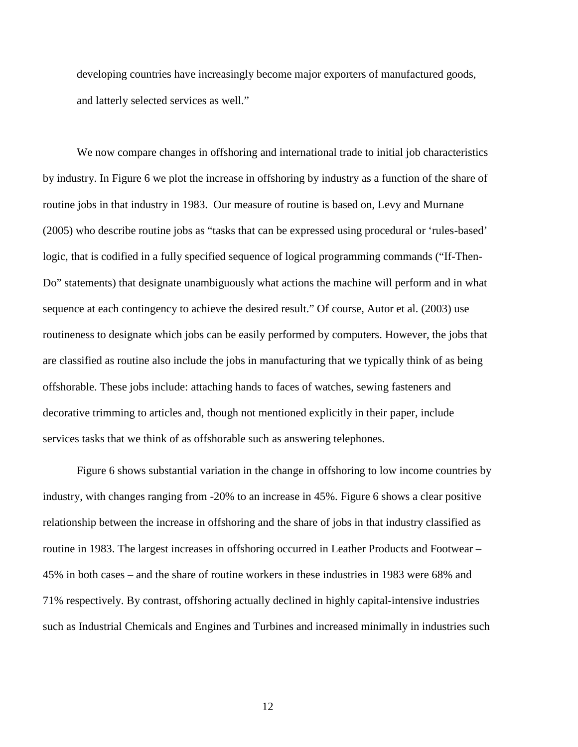developing countries have increasingly become major exporters of manufactured goods, and latterly selected services as well."

 We now compare changes in offshoring and international trade to initial job characteristics by industry. In Figure 6 we plot the increase in offshoring by industry as a function of the share of routine jobs in that industry in 1983. Our measure of routine is based on, Levy and Murnane (2005) who describe routine jobs as "tasks that can be expressed using procedural or 'rules-based' logic, that is codified in a fully specified sequence of logical programming commands ("If-Then-Do" statements) that designate unambiguously what actions the machine will perform and in what sequence at each contingency to achieve the desired result." Of course, Autor et al. (2003) use routineness to designate which jobs can be easily performed by computers. However, the jobs that are classified as routine also include the jobs in manufacturing that we typically think of as being offshorable. These jobs include: attaching hands to faces of watches, sewing fasteners and decorative trimming to articles and, though not mentioned explicitly in their paper, include services tasks that we think of as offshorable such as answering telephones.

 Figure 6 shows substantial variation in the change in offshoring to low income countries by industry, with changes ranging from -20% to an increase in 45%. Figure 6 shows a clear positive relationship between the increase in offshoring and the share of jobs in that industry classified as routine in 1983. The largest increases in offshoring occurred in Leather Products and Footwear – 45% in both cases – and the share of routine workers in these industries in 1983 were 68% and 71% respectively. By contrast, offshoring actually declined in highly capital-intensive industries such as Industrial Chemicals and Engines and Turbines and increased minimally in industries such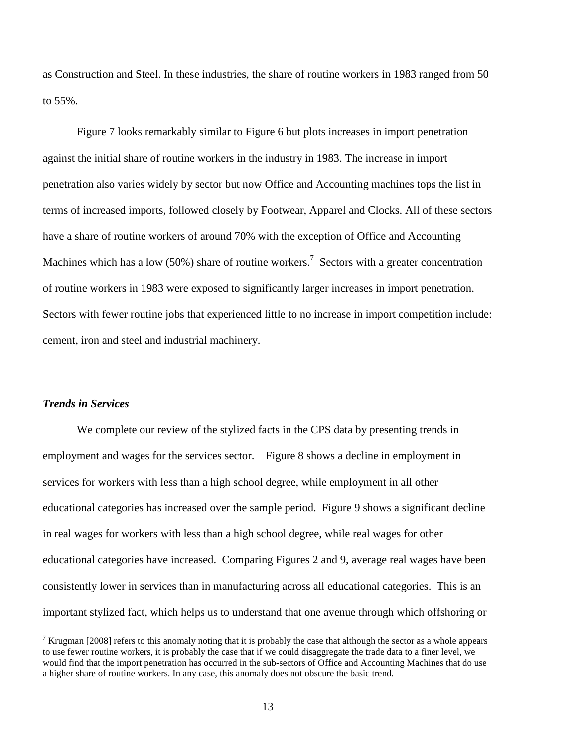as Construction and Steel. In these industries, the share of routine workers in 1983 ranged from 50 to 55%.

 Figure 7 looks remarkably similar to Figure 6 but plots increases in import penetration against the initial share of routine workers in the industry in 1983. The increase in import penetration also varies widely by sector but now Office and Accounting machines tops the list in terms of increased imports, followed closely by Footwear, Apparel and Clocks. All of these sectors have a share of routine workers of around 70% with the exception of Office and Accounting Machines which has a low (50%) share of routine workers.<sup>7</sup> Sectors with a greater concentration of routine workers in 1983 were exposed to significantly larger increases in import penetration. Sectors with fewer routine jobs that experienced little to no increase in import competition include: cement, iron and steel and industrial machinery.

### *Trends in Services*

<u>.</u>

 We complete our review of the stylized facts in the CPS data by presenting trends in employment and wages for the services sector. Figure 8 shows a decline in employment in services for workers with less than a high school degree, while employment in all other educational categories has increased over the sample period. Figure 9 shows a significant decline in real wages for workers with less than a high school degree, while real wages for other educational categories have increased. Comparing Figures 2 and 9, average real wages have been consistently lower in services than in manufacturing across all educational categories. This is an important stylized fact, which helps us to understand that one avenue through which offshoring or

<sup>&</sup>lt;sup>7</sup> Krugman [2008] refers to this anomaly noting that it is probably the case that although the sector as a whole appears to use fewer routine workers, it is probably the case that if we could disaggregate the trade data to a finer level, we would find that the import penetration has occurred in the sub-sectors of Office and Accounting Machines that do use a higher share of routine workers. In any case, this anomaly does not obscure the basic trend.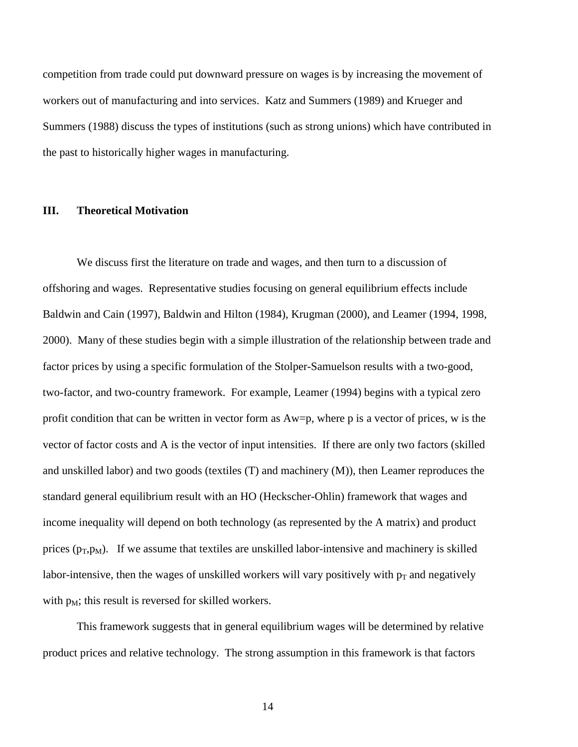competition from trade could put downward pressure on wages is by increasing the movement of workers out of manufacturing and into services. Katz and Summers (1989) and Krueger and Summers (1988) discuss the types of institutions (such as strong unions) which have contributed in the past to historically higher wages in manufacturing.

### **III. Theoretical Motivation**

We discuss first the literature on trade and wages, and then turn to a discussion of offshoring and wages. Representative studies focusing on general equilibrium effects include Baldwin and Cain (1997), Baldwin and Hilton (1984), Krugman (2000), and Leamer (1994, 1998, 2000). Many of these studies begin with a simple illustration of the relationship between trade and factor prices by using a specific formulation of the Stolper-Samuelson results with a two-good, two-factor, and two-country framework. For example, Leamer (1994) begins with a typical zero profit condition that can be written in vector form as Aw=p, where p is a vector of prices, w is the vector of factor costs and A is the vector of input intensities. If there are only two factors (skilled and unskilled labor) and two goods (textiles (T) and machinery (M)), then Leamer reproduces the standard general equilibrium result with an HO (Heckscher-Ohlin) framework that wages and income inequality will depend on both technology (as represented by the A matrix) and product prices  $(p_T, p_M)$ . If we assume that textiles are unskilled labor-intensive and machinery is skilled labor-intensive, then the wages of unskilled workers will vary positively with  $p_T$  and negatively with  $p_M$ ; this result is reversed for skilled workers.

This framework suggests that in general equilibrium wages will be determined by relative product prices and relative technology. The strong assumption in this framework is that factors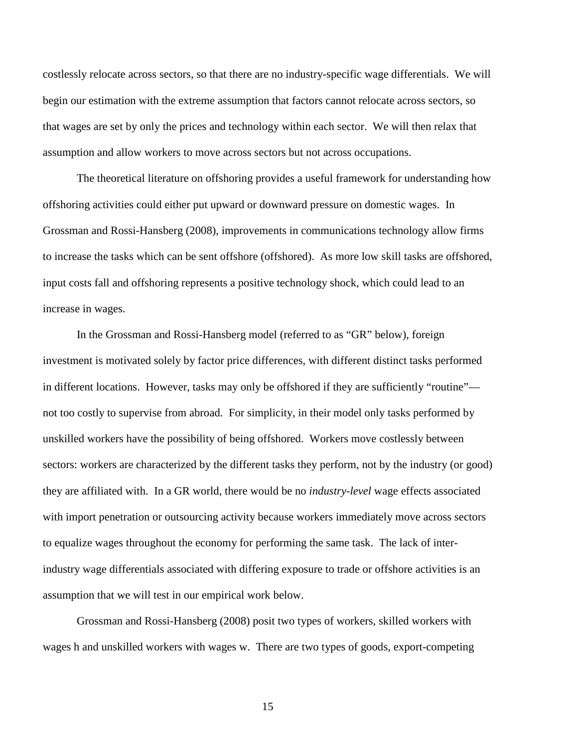costlessly relocate across sectors, so that there are no industry-specific wage differentials. We will begin our estimation with the extreme assumption that factors cannot relocate across sectors, so that wages are set by only the prices and technology within each sector. We will then relax that assumption and allow workers to move across sectors but not across occupations.

The theoretical literature on offshoring provides a useful framework for understanding how offshoring activities could either put upward or downward pressure on domestic wages. In Grossman and Rossi-Hansberg (2008), improvements in communications technology allow firms to increase the tasks which can be sent offshore (offshored). As more low skill tasks are offshored, input costs fall and offshoring represents a positive technology shock, which could lead to an increase in wages.

In the Grossman and Rossi-Hansberg model (referred to as "GR" below), foreign investment is motivated solely by factor price differences, with different distinct tasks performed in different locations. However, tasks may only be offshored if they are sufficiently "routine" not too costly to supervise from abroad. For simplicity, in their model only tasks performed by unskilled workers have the possibility of being offshored. Workers move costlessly between sectors: workers are characterized by the different tasks they perform, not by the industry (or good) they are affiliated with. In a GR world, there would be no *industry-level* wage effects associated with import penetration or outsourcing activity because workers immediately move across sectors to equalize wages throughout the economy for performing the same task. The lack of interindustry wage differentials associated with differing exposure to trade or offshore activities is an assumption that we will test in our empirical work below.

Grossman and Rossi-Hansberg (2008) posit two types of workers, skilled workers with wages h and unskilled workers with wages w. There are two types of goods, export-competing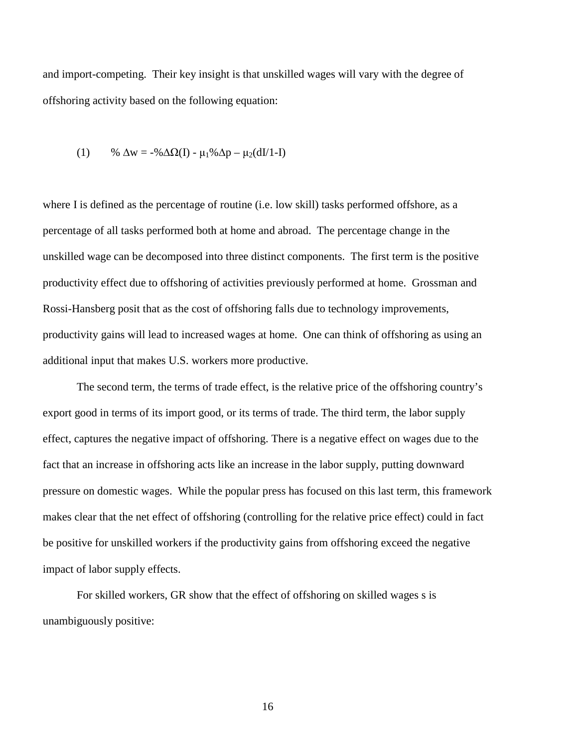and import-competing. Their key insight is that unskilled wages will vary with the degree of offshoring activity based on the following equation:

(1) % 
$$
\Delta w = -\% \Delta \Omega(I) - \mu_1 \% \Delta p - \mu_2 (dI/1-I)
$$

where I is defined as the percentage of routine (i.e. low skill) tasks performed offshore, as a percentage of all tasks performed both at home and abroad. The percentage change in the unskilled wage can be decomposed into three distinct components. The first term is the positive productivity effect due to offshoring of activities previously performed at home. Grossman and Rossi-Hansberg posit that as the cost of offshoring falls due to technology improvements, productivity gains will lead to increased wages at home. One can think of offshoring as using an additional input that makes U.S. workers more productive.

The second term, the terms of trade effect, is the relative price of the offshoring country's export good in terms of its import good, or its terms of trade. The third term, the labor supply effect, captures the negative impact of offshoring. There is a negative effect on wages due to the fact that an increase in offshoring acts like an increase in the labor supply, putting downward pressure on domestic wages. While the popular press has focused on this last term, this framework makes clear that the net effect of offshoring (controlling for the relative price effect) could in fact be positive for unskilled workers if the productivity gains from offshoring exceed the negative impact of labor supply effects.

For skilled workers, GR show that the effect of offshoring on skilled wages s is unambiguously positive: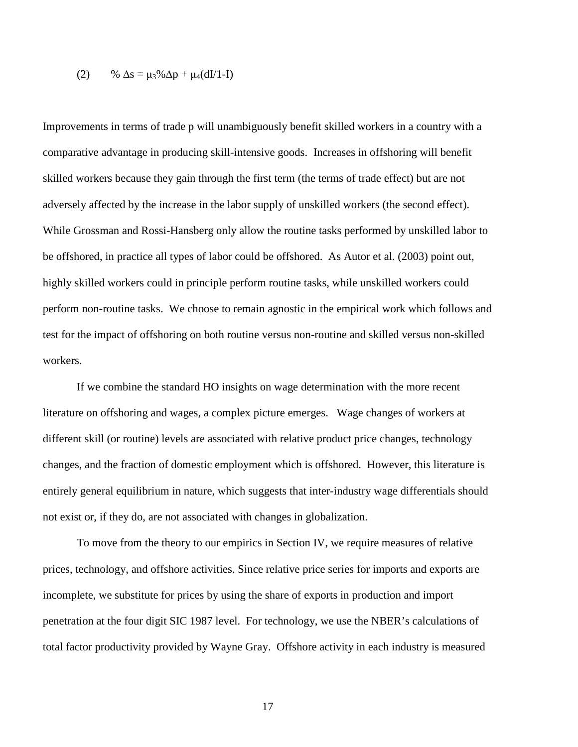$$
(2) \qquad \% \ \Delta s = \mu_3\% \Delta p + \mu_4 (dI/1-I)
$$

Improvements in terms of trade p will unambiguously benefit skilled workers in a country with a comparative advantage in producing skill-intensive goods. Increases in offshoring will benefit skilled workers because they gain through the first term (the terms of trade effect) but are not adversely affected by the increase in the labor supply of unskilled workers (the second effect). While Grossman and Rossi-Hansberg only allow the routine tasks performed by unskilled labor to be offshored, in practice all types of labor could be offshored. As Autor et al. (2003) point out, highly skilled workers could in principle perform routine tasks, while unskilled workers could perform non-routine tasks. We choose to remain agnostic in the empirical work which follows and test for the impact of offshoring on both routine versus non-routine and skilled versus non-skilled workers.

 If we combine the standard HO insights on wage determination with the more recent literature on offshoring and wages, a complex picture emerges. Wage changes of workers at different skill (or routine) levels are associated with relative product price changes, technology changes, and the fraction of domestic employment which is offshored. However, this literature is entirely general equilibrium in nature, which suggests that inter-industry wage differentials should not exist or, if they do, are not associated with changes in globalization.

 To move from the theory to our empirics in Section IV, we require measures of relative prices, technology, and offshore activities. Since relative price series for imports and exports are incomplete, we substitute for prices by using the share of exports in production and import penetration at the four digit SIC 1987 level. For technology, we use the NBER's calculations of total factor productivity provided by Wayne Gray. Offshore activity in each industry is measured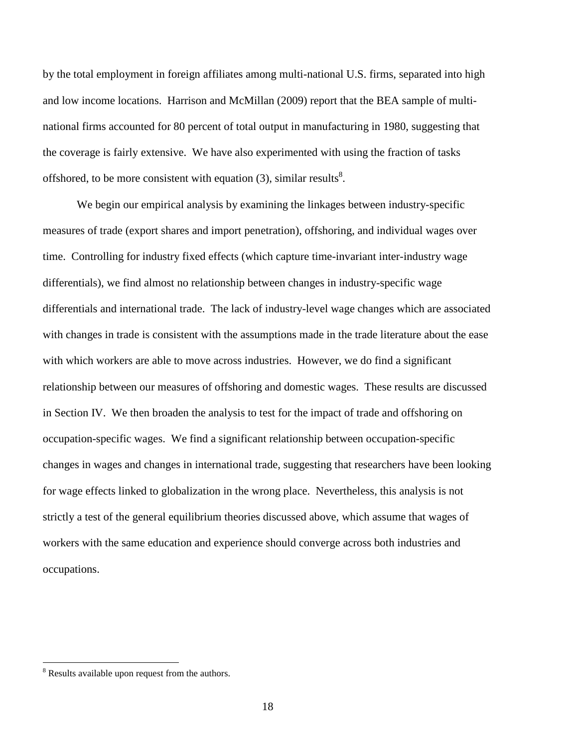by the total employment in foreign affiliates among multi-national U.S. firms, separated into high and low income locations. Harrison and McMillan (2009) report that the BEA sample of multinational firms accounted for 80 percent of total output in manufacturing in 1980, suggesting that the coverage is fairly extensive. We have also experimented with using the fraction of tasks offshored, to be more consistent with equation  $(3)$ , similar results<sup>8</sup>.

 We begin our empirical analysis by examining the linkages between industry-specific measures of trade (export shares and import penetration), offshoring, and individual wages over time. Controlling for industry fixed effects (which capture time-invariant inter-industry wage differentials), we find almost no relationship between changes in industry-specific wage differentials and international trade. The lack of industry-level wage changes which are associated with changes in trade is consistent with the assumptions made in the trade literature about the ease with which workers are able to move across industries. However, we do find a significant relationship between our measures of offshoring and domestic wages. These results are discussed in Section IV. We then broaden the analysis to test for the impact of trade and offshoring on occupation-specific wages. We find a significant relationship between occupation-specific changes in wages and changes in international trade, suggesting that researchers have been looking for wage effects linked to globalization in the wrong place. Nevertheless, this analysis is not strictly a test of the general equilibrium theories discussed above, which assume that wages of workers with the same education and experience should converge across both industries and occupations.

<u>.</u>

<sup>&</sup>lt;sup>8</sup> Results available upon request from the authors.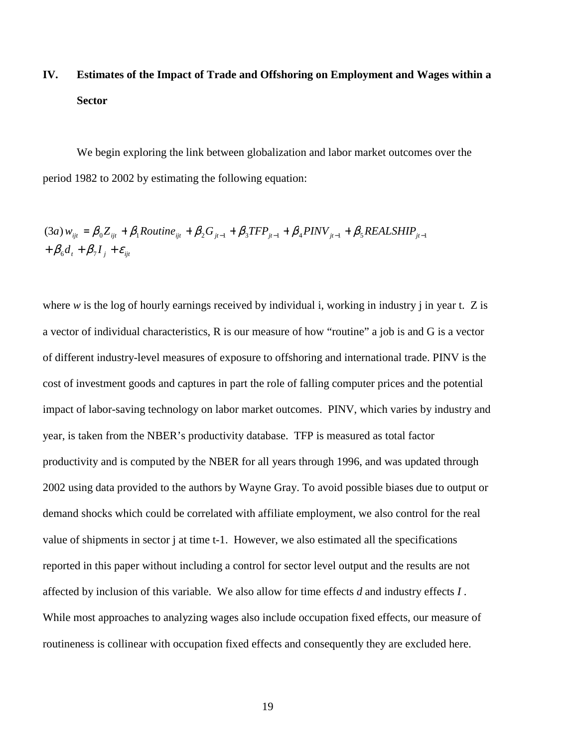# **IV. Estimates of the Impact of Trade and Offshoring on Employment and Wages within a Sector**

We begin exploring the link between globalization and labor market outcomes over the period 1982 to 2002 by estimating the following equation:

$$
(3a) w_{ijt} = \beta_0 Z_{ijt} + \beta_1 Routine_{ijt} + \beta_2 G_{jt-1} + \beta_3 TFP_{jt-1} + \beta_4 PINV_{jt-1} + \beta_5 REALSHIP_{jt-1} + \beta_6 d_t + \beta_7 I_j + \varepsilon_{ijt}
$$

where *w* is the log of hourly earnings received by individual i, working in industry j in year t. Z is a vector of individual characteristics, R is our measure of how "routine" a job is and G is a vector of different industry-level measures of exposure to offshoring and international trade. PINV is the cost of investment goods and captures in part the role of falling computer prices and the potential impact of labor-saving technology on labor market outcomes. PINV, which varies by industry and year, is taken from the NBER's productivity database. TFP is measured as total factor productivity and is computed by the NBER for all years through 1996, and was updated through 2002 using data provided to the authors by Wayne Gray. To avoid possible biases due to output or demand shocks which could be correlated with affiliate employment, we also control for the real value of shipments in sector j at time t-1. However, we also estimated all the specifications reported in this paper without including a control for sector level output and the results are not affected by inclusion of this variable. We also allow for time effects *d* and industry effects *I* . While most approaches to analyzing wages also include occupation fixed effects, our measure of routineness is collinear with occupation fixed effects and consequently they are excluded here.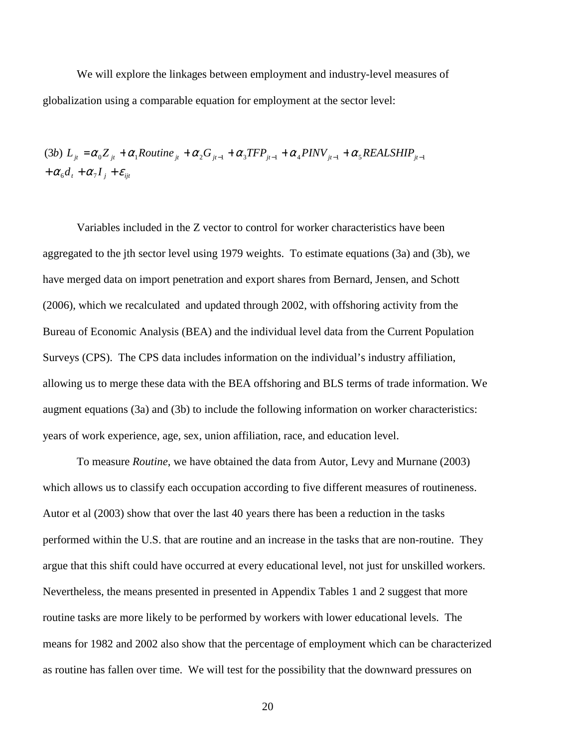We will explore the linkages between employment and industry-level measures of globalization using a comparable equation for employment at the sector level:

 $+\alpha_{6}d_{t} + \alpha_{7}I_{j} + \varepsilon_{ijt}$ (3b)  $L_{ji} = \alpha_0 Z_{ji} + \alpha_1 R$ outine<sub> jt</sub> +  $\alpha_2 G_{ji-1} + \alpha_3 TFP_{ji-1} + \alpha_4 PINV_{ji-1} + \alpha_5 REALSHIP_{ji-1}$ 

Variables included in the Z vector to control for worker characteristics have been aggregated to the jth sector level using 1979 weights. To estimate equations (3a) and (3b), we have merged data on import penetration and export shares from Bernard, Jensen, and Schott (2006), which we recalculated and updated through 2002, with offshoring activity from the Bureau of Economic Analysis (BEA) and the individual level data from the Current Population Surveys (CPS). The CPS data includes information on the individual's industry affiliation, allowing us to merge these data with the BEA offshoring and BLS terms of trade information. We augment equations (3a) and (3b) to include the following information on worker characteristics: years of work experience, age, sex, union affiliation, race, and education level.

To measure *Routine*, we have obtained the data from Autor, Levy and Murnane (2003) which allows us to classify each occupation according to five different measures of routineness. Autor et al (2003) show that over the last 40 years there has been a reduction in the tasks performed within the U.S. that are routine and an increase in the tasks that are non-routine. They argue that this shift could have occurred at every educational level, not just for unskilled workers. Nevertheless, the means presented in presented in Appendix Tables 1 and 2 suggest that more routine tasks are more likely to be performed by workers with lower educational levels. The means for 1982 and 2002 also show that the percentage of employment which can be characterized as routine has fallen over time. We will test for the possibility that the downward pressures on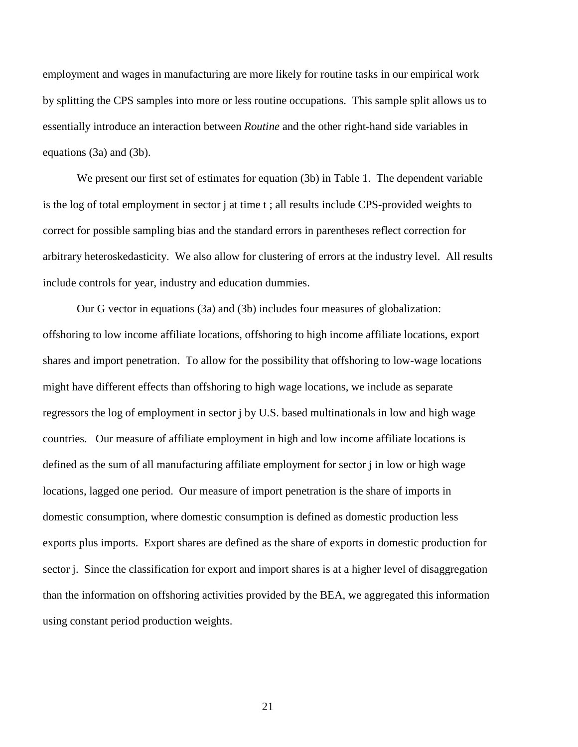employment and wages in manufacturing are more likely for routine tasks in our empirical work by splitting the CPS samples into more or less routine occupations. This sample split allows us to essentially introduce an interaction between *Routine* and the other right-hand side variables in equations (3a) and (3b).

We present our first set of estimates for equation (3b) in Table 1. The dependent variable is the log of total employment in sector j at time t ; all results include CPS-provided weights to correct for possible sampling bias and the standard errors in parentheses reflect correction for arbitrary heteroskedasticity. We also allow for clustering of errors at the industry level. All results include controls for year, industry and education dummies.

Our G vector in equations (3a) and (3b) includes four measures of globalization: offshoring to low income affiliate locations, offshoring to high income affiliate locations, export shares and import penetration. To allow for the possibility that offshoring to low-wage locations might have different effects than offshoring to high wage locations, we include as separate regressors the log of employment in sector j by U.S. based multinationals in low and high wage countries. Our measure of affiliate employment in high and low income affiliate locations is defined as the sum of all manufacturing affiliate employment for sector j in low or high wage locations, lagged one period. Our measure of import penetration is the share of imports in domestic consumption, where domestic consumption is defined as domestic production less exports plus imports. Export shares are defined as the share of exports in domestic production for sector j. Since the classification for export and import shares is at a higher level of disaggregation than the information on offshoring activities provided by the BEA, we aggregated this information using constant period production weights.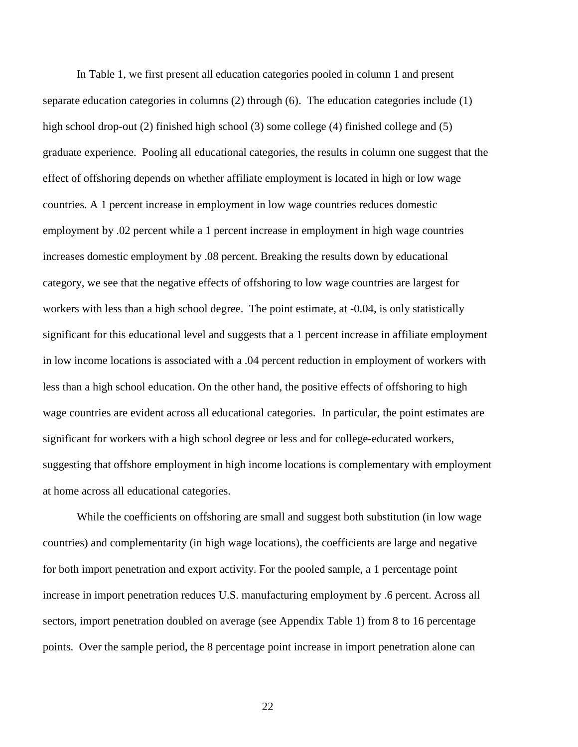In Table 1, we first present all education categories pooled in column 1 and present separate education categories in columns (2) through (6). The education categories include (1) high school drop-out (2) finished high school (3) some college (4) finished college and (5) graduate experience. Pooling all educational categories, the results in column one suggest that the effect of offshoring depends on whether affiliate employment is located in high or low wage countries. A 1 percent increase in employment in low wage countries reduces domestic employment by .02 percent while a 1 percent increase in employment in high wage countries increases domestic employment by .08 percent. Breaking the results down by educational category, we see that the negative effects of offshoring to low wage countries are largest for workers with less than a high school degree. The point estimate, at -0.04, is only statistically significant for this educational level and suggests that a 1 percent increase in affiliate employment in low income locations is associated with a .04 percent reduction in employment of workers with less than a high school education. On the other hand, the positive effects of offshoring to high wage countries are evident across all educational categories. In particular, the point estimates are significant for workers with a high school degree or less and for college-educated workers, suggesting that offshore employment in high income locations is complementary with employment at home across all educational categories.

While the coefficients on offshoring are small and suggest both substitution (in low wage countries) and complementarity (in high wage locations), the coefficients are large and negative for both import penetration and export activity. For the pooled sample, a 1 percentage point increase in import penetration reduces U.S. manufacturing employment by .6 percent. Across all sectors, import penetration doubled on average (see Appendix Table 1) from 8 to 16 percentage points. Over the sample period, the 8 percentage point increase in import penetration alone can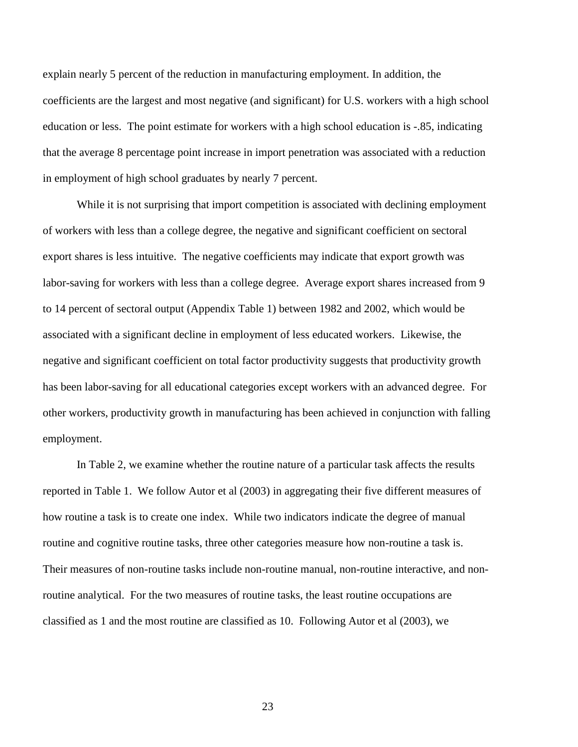explain nearly 5 percent of the reduction in manufacturing employment. In addition, the coefficients are the largest and most negative (and significant) for U.S. workers with a high school education or less. The point estimate for workers with a high school education is -.85, indicating that the average 8 percentage point increase in import penetration was associated with a reduction in employment of high school graduates by nearly 7 percent.

While it is not surprising that import competition is associated with declining employment of workers with less than a college degree, the negative and significant coefficient on sectoral export shares is less intuitive. The negative coefficients may indicate that export growth was labor-saving for workers with less than a college degree. Average export shares increased from 9 to 14 percent of sectoral output (Appendix Table 1) between 1982 and 2002, which would be associated with a significant decline in employment of less educated workers. Likewise, the negative and significant coefficient on total factor productivity suggests that productivity growth has been labor-saving for all educational categories except workers with an advanced degree. For other workers, productivity growth in manufacturing has been achieved in conjunction with falling employment.

In Table 2, we examine whether the routine nature of a particular task affects the results reported in Table 1. We follow Autor et al (2003) in aggregating their five different measures of how routine a task is to create one index. While two indicators indicate the degree of manual routine and cognitive routine tasks, three other categories measure how non-routine a task is. Their measures of non-routine tasks include non-routine manual, non-routine interactive, and nonroutine analytical. For the two measures of routine tasks, the least routine occupations are classified as 1 and the most routine are classified as 10. Following Autor et al (2003), we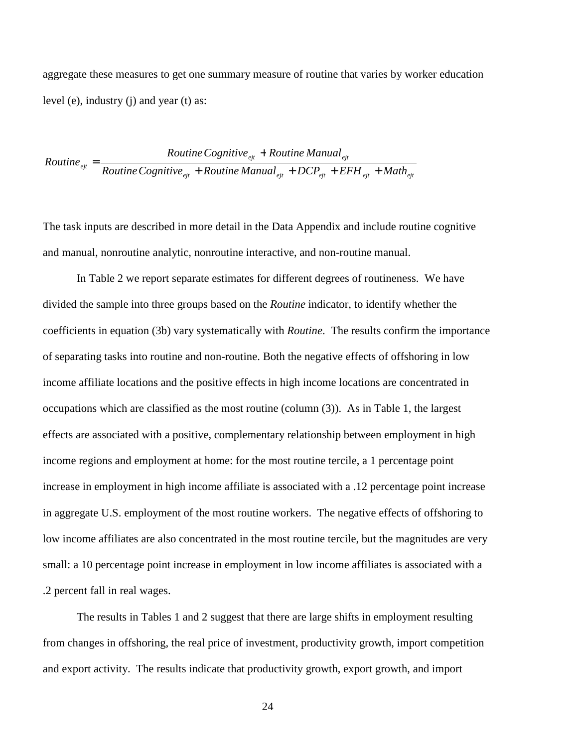aggregate these measures to get one summary measure of routine that varies by worker education level (e), industry (j) and year (t) as:

*Routine* 
$$
e_{ejt}
$$
 = 
$$
\frac{Routine \ Cognitive_{ejt} + Routine \ Manual_{ejt}}{Routine \ Cognitive_{ejt} + Routine \ Manual_{ejt} + DCP_{ejt} + EFH_{ejt} + Math_{ejt}}
$$

The task inputs are described in more detail in the Data Appendix and include routine cognitive and manual, nonroutine analytic, nonroutine interactive, and non-routine manual.

 In Table 2 we report separate estimates for different degrees of routineness. We have divided the sample into three groups based on the *Routine* indicator, to identify whether the coefficients in equation (3b) vary systematically with *Routine*. The results confirm the importance of separating tasks into routine and non-routine. Both the negative effects of offshoring in low income affiliate locations and the positive effects in high income locations are concentrated in occupations which are classified as the most routine (column (3)). As in Table 1, the largest effects are associated with a positive, complementary relationship between employment in high income regions and employment at home: for the most routine tercile, a 1 percentage point increase in employment in high income affiliate is associated with a .12 percentage point increase in aggregate U.S. employment of the most routine workers. The negative effects of offshoring to low income affiliates are also concentrated in the most routine tercile, but the magnitudes are very small: a 10 percentage point increase in employment in low income affiliates is associated with a .2 percent fall in real wages.

 The results in Tables 1 and 2 suggest that there are large shifts in employment resulting from changes in offshoring, the real price of investment, productivity growth, import competition and export activity. The results indicate that productivity growth, export growth, and import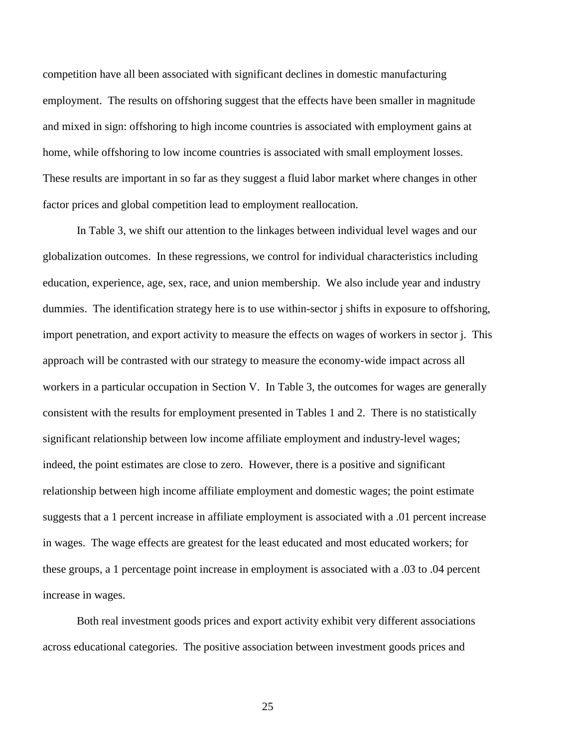competition have all been associated with significant declines in domestic manufacturing employment. The results on offshoring suggest that the effects have been smaller in magnitude and mixed in sign: offshoring to high income countries is associated with employment gains at home, while offshoring to low income countries is associated with small employment losses. These results are important in so far as they suggest a fluid labor market where changes in other factor prices and global competition lead to employment reallocation.

In Table 3, we shift our attention to the linkages between individual level wages and our globalization outcomes. In these regressions, we control for individual characteristics including education, experience, age, sex, race, and union membership. We also include year and industry dummies. The identification strategy here is to use within-sector j shifts in exposure to offshoring, import penetration, and export activity to measure the effects on wages of workers in sector j. This approach will be contrasted with our strategy to measure the economy-wide impact across all workers in a particular occupation in Section V. In Table 3, the outcomes for wages are generally consistent with the results for employment presented in Tables 1 and 2. There is no statistically significant relationship between low income affiliate employment and industry-level wages; indeed, the point estimates are close to zero. However, there is a positive and significant relationship between high income affiliate employment and domestic wages; the point estimate suggests that a 1 percent increase in affiliate employment is associated with a .01 percent increase in wages. The wage effects are greatest for the least educated and most educated workers; for these groups, a 1 percentage point increase in employment is associated with a .03 to .04 percent increase in wages.

Both real investment goods prices and export activity exhibit very different associations across educational categories. The positive association between investment goods prices and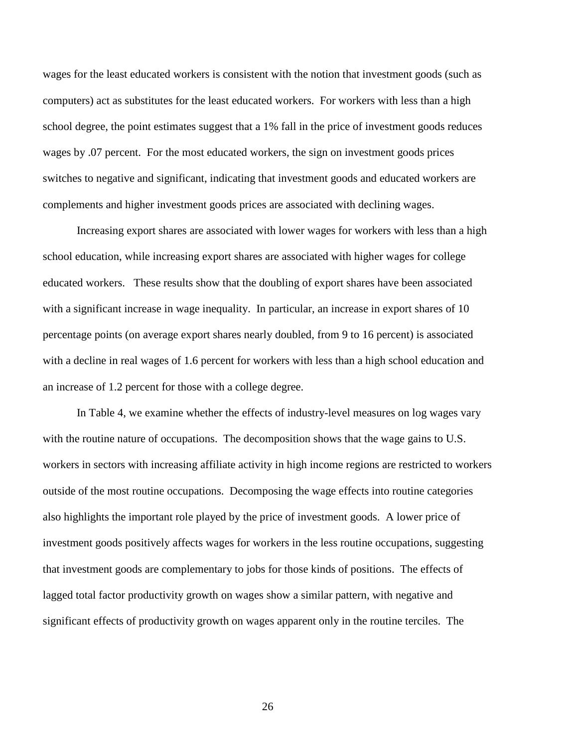wages for the least educated workers is consistent with the notion that investment goods (such as computers) act as substitutes for the least educated workers. For workers with less than a high school degree, the point estimates suggest that a 1% fall in the price of investment goods reduces wages by .07 percent. For the most educated workers, the sign on investment goods prices switches to negative and significant, indicating that investment goods and educated workers are complements and higher investment goods prices are associated with declining wages.

Increasing export shares are associated with lower wages for workers with less than a high school education, while increasing export shares are associated with higher wages for college educated workers. These results show that the doubling of export shares have been associated with a significant increase in wage inequality. In particular, an increase in export shares of 10 percentage points (on average export shares nearly doubled, from 9 to 16 percent) is associated with a decline in real wages of 1.6 percent for workers with less than a high school education and an increase of 1.2 percent for those with a college degree.

 In Table 4, we examine whether the effects of industry-level measures on log wages vary with the routine nature of occupations. The decomposition shows that the wage gains to U.S. workers in sectors with increasing affiliate activity in high income regions are restricted to workers outside of the most routine occupations. Decomposing the wage effects into routine categories also highlights the important role played by the price of investment goods. A lower price of investment goods positively affects wages for workers in the less routine occupations, suggesting that investment goods are complementary to jobs for those kinds of positions. The effects of lagged total factor productivity growth on wages show a similar pattern, with negative and significant effects of productivity growth on wages apparent only in the routine terciles. The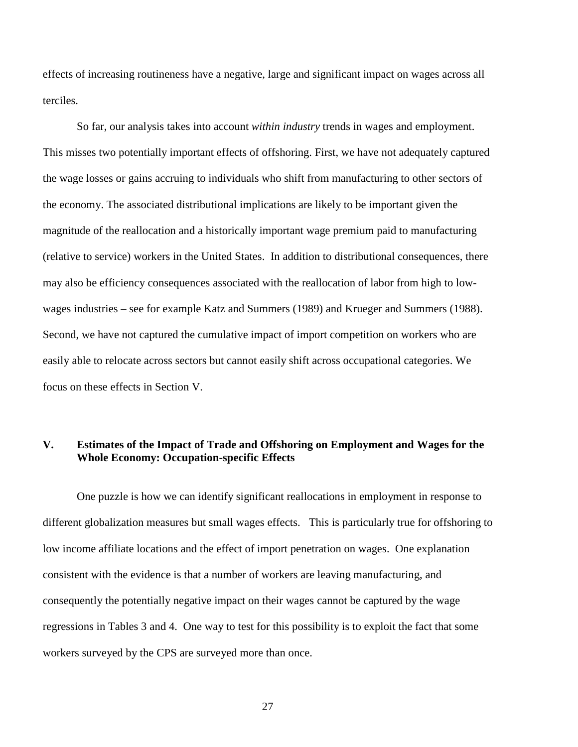effects of increasing routineness have a negative, large and significant impact on wages across all terciles.

So far, our analysis takes into account *within industry* trends in wages and employment. This misses two potentially important effects of offshoring. First, we have not adequately captured the wage losses or gains accruing to individuals who shift from manufacturing to other sectors of the economy. The associated distributional implications are likely to be important given the magnitude of the reallocation and a historically important wage premium paid to manufacturing (relative to service) workers in the United States. In addition to distributional consequences, there may also be efficiency consequences associated with the reallocation of labor from high to lowwages industries – see for example Katz and Summers (1989) and Krueger and Summers (1988). Second, we have not captured the cumulative impact of import competition on workers who are easily able to relocate across sectors but cannot easily shift across occupational categories. We focus on these effects in Section V.

### **V. Estimates of the Impact of Trade and Offshoring on Employment and Wages for the Whole Economy: Occupation-specific Effects**

One puzzle is how we can identify significant reallocations in employment in response to different globalization measures but small wages effects. This is particularly true for offshoring to low income affiliate locations and the effect of import penetration on wages. One explanation consistent with the evidence is that a number of workers are leaving manufacturing, and consequently the potentially negative impact on their wages cannot be captured by the wage regressions in Tables 3 and 4. One way to test for this possibility is to exploit the fact that some workers surveyed by the CPS are surveyed more than once.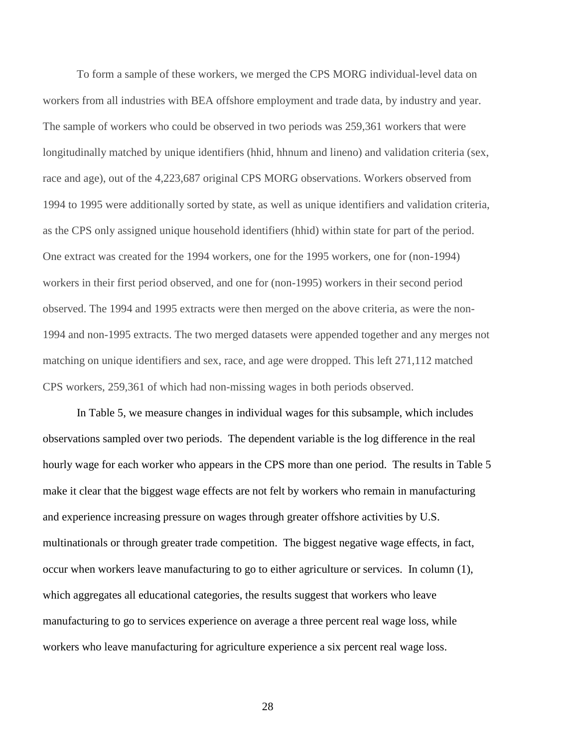To form a sample of these workers, we merged the CPS MORG individual-level data on workers from all industries with BEA offshore employment and trade data, by industry and year. The sample of workers who could be observed in two periods was 259,361 workers that were longitudinally matched by unique identifiers (hhid, hhnum and lineno) and validation criteria (sex, race and age), out of the 4,223,687 original CPS MORG observations. Workers observed from 1994 to 1995 were additionally sorted by state, as well as unique identifiers and validation criteria, as the CPS only assigned unique household identifiers (hhid) within state for part of the period. One extract was created for the 1994 workers, one for the 1995 workers, one for (non-1994) workers in their first period observed, and one for (non-1995) workers in their second period observed. The 1994 and 1995 extracts were then merged on the above criteria, as were the non-1994 and non-1995 extracts. The two merged datasets were appended together and any merges not matching on unique identifiers and sex, race, and age were dropped. This left 271,112 matched CPS workers, 259,361 of which had non-missing wages in both periods observed.

 In Table 5, we measure changes in individual wages for this subsample, which includes observations sampled over two periods. The dependent variable is the log difference in the real hourly wage for each worker who appears in the CPS more than one period. The results in Table 5 make it clear that the biggest wage effects are not felt by workers who remain in manufacturing and experience increasing pressure on wages through greater offshore activities by U.S. multinationals or through greater trade competition. The biggest negative wage effects, in fact, occur when workers leave manufacturing to go to either agriculture or services. In column (1), which aggregates all educational categories, the results suggest that workers who leave manufacturing to go to services experience on average a three percent real wage loss, while workers who leave manufacturing for agriculture experience a six percent real wage loss.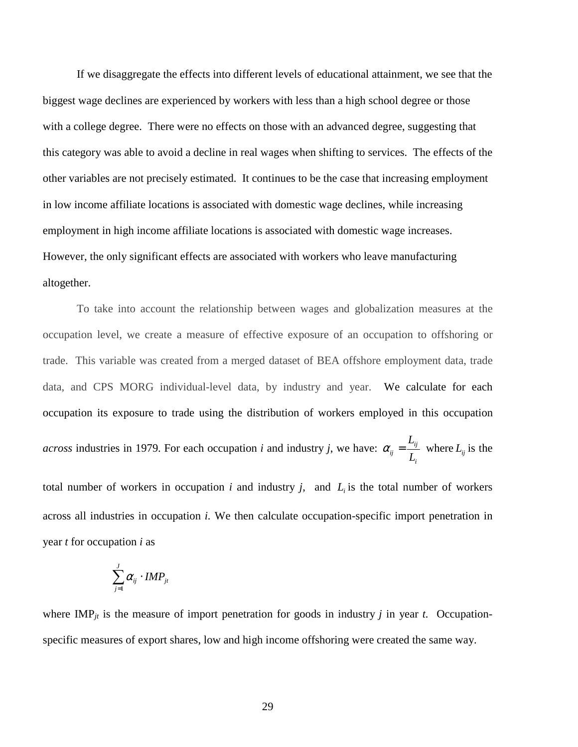If we disaggregate the effects into different levels of educational attainment, we see that the biggest wage declines are experienced by workers with less than a high school degree or those with a college degree. There were no effects on those with an advanced degree, suggesting that this category was able to avoid a decline in real wages when shifting to services. The effects of the other variables are not precisely estimated. It continues to be the case that increasing employment in low income affiliate locations is associated with domestic wage declines, while increasing employment in high income affiliate locations is associated with domestic wage increases. However, the only significant effects are associated with workers who leave manufacturing altogether.

To take into account the relationship between wages and globalization measures at the occupation level, we create a measure of effective exposure of an occupation to offshoring or trade. This variable was created from a merged dataset of BEA offshore employment data, trade data, and CPS MORG individual-level data, by industry and year. We calculate for each occupation its exposure to trade using the distribution of workers employed in this occupation *across* industries in 1979. For each occupation *i* and industry *j*, we have: *i ij*  $\binom{ij}{k}$   $\binom{L}{k}$ *L*  $\alpha_{ij} = \frac{-y}{I}$  where  $L_{ij}$  is the

total number of workers in occupation  $i$  and industry  $j$ , and  $L_i$  is the total number of workers across all industries in occupation *i.* We then calculate occupation-specific import penetration in year *t* for occupation *i* as

$$
\sum_{j=1}^J \alpha_{ij} \cdot \textit{IMP}_{jt}
$$

where  $IMP_{jt}$  is the measure of import penetration for goods in industry *j* in year *t*. Occupationspecific measures of export shares, low and high income offshoring were created the same way.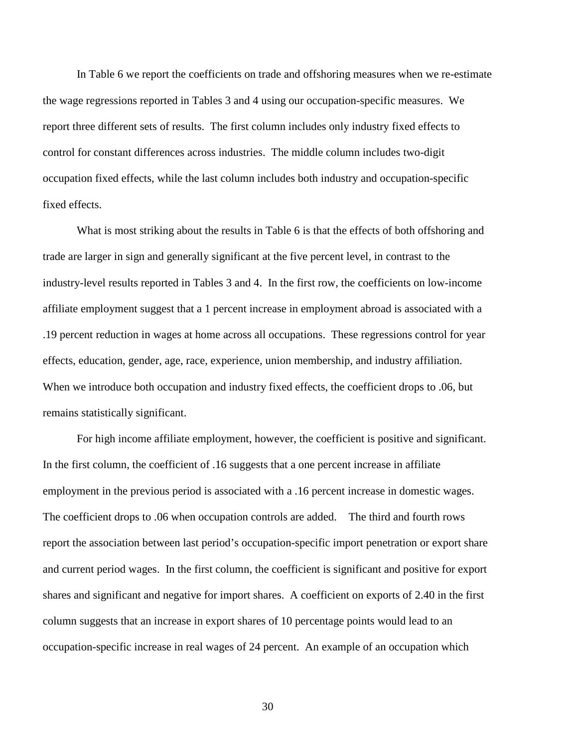In Table 6 we report the coefficients on trade and offshoring measures when we re-estimate the wage regressions reported in Tables 3 and 4 using our occupation-specific measures. We report three different sets of results. The first column includes only industry fixed effects to control for constant differences across industries. The middle column includes two-digit occupation fixed effects, while the last column includes both industry and occupation-specific fixed effects.

 What is most striking about the results in Table 6 is that the effects of both offshoring and trade are larger in sign and generally significant at the five percent level, in contrast to the industry-level results reported in Tables 3 and 4. In the first row, the coefficients on low-income affiliate employment suggest that a 1 percent increase in employment abroad is associated with a .19 percent reduction in wages at home across all occupations. These regressions control for year effects, education, gender, age, race, experience, union membership, and industry affiliation. When we introduce both occupation and industry fixed effects, the coefficient drops to .06, but remains statistically significant.

 For high income affiliate employment, however, the coefficient is positive and significant. In the first column, the coefficient of .16 suggests that a one percent increase in affiliate employment in the previous period is associated with a .16 percent increase in domestic wages. The coefficient drops to .06 when occupation controls are added. The third and fourth rows report the association between last period's occupation-specific import penetration or export share and current period wages. In the first column, the coefficient is significant and positive for export shares and significant and negative for import shares. A coefficient on exports of 2.40 in the first column suggests that an increase in export shares of 10 percentage points would lead to an occupation-specific increase in real wages of 24 percent. An example of an occupation which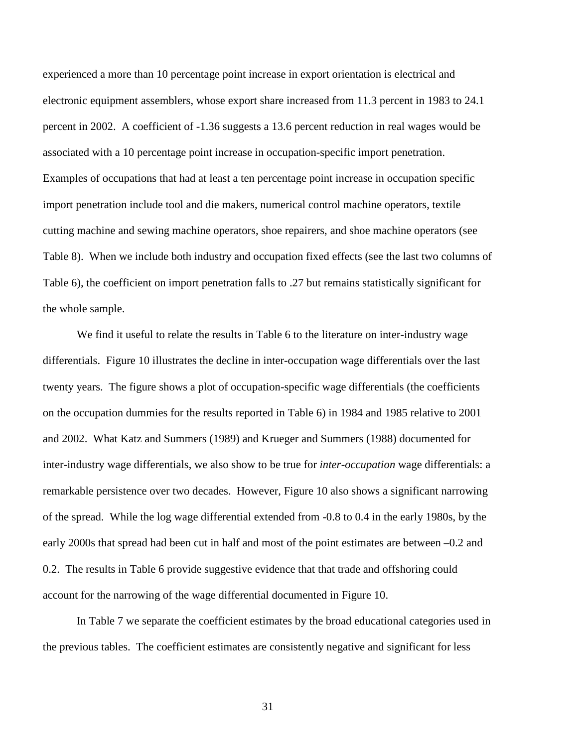experienced a more than 10 percentage point increase in export orientation is electrical and electronic equipment assemblers, whose export share increased from 11.3 percent in 1983 to 24.1 percent in 2002. A coefficient of -1.36 suggests a 13.6 percent reduction in real wages would be associated with a 10 percentage point increase in occupation-specific import penetration. Examples of occupations that had at least a ten percentage point increase in occupation specific import penetration include tool and die makers, numerical control machine operators, textile cutting machine and sewing machine operators, shoe repairers, and shoe machine operators (see Table 8). When we include both industry and occupation fixed effects (see the last two columns of Table 6), the coefficient on import penetration falls to .27 but remains statistically significant for the whole sample.

We find it useful to relate the results in Table 6 to the literature on inter-industry wage differentials. Figure 10 illustrates the decline in inter-occupation wage differentials over the last twenty years. The figure shows a plot of occupation-specific wage differentials (the coefficients on the occupation dummies for the results reported in Table 6) in 1984 and 1985 relative to 2001 and 2002. What Katz and Summers (1989) and Krueger and Summers (1988) documented for inter-industry wage differentials, we also show to be true for *inter-occupation* wage differentials: a remarkable persistence over two decades. However, Figure 10 also shows a significant narrowing of the spread. While the log wage differential extended from -0.8 to 0.4 in the early 1980s, by the early 2000s that spread had been cut in half and most of the point estimates are between –0.2 and 0.2. The results in Table 6 provide suggestive evidence that that trade and offshoring could account for the narrowing of the wage differential documented in Figure 10.

 In Table 7 we separate the coefficient estimates by the broad educational categories used in the previous tables. The coefficient estimates are consistently negative and significant for less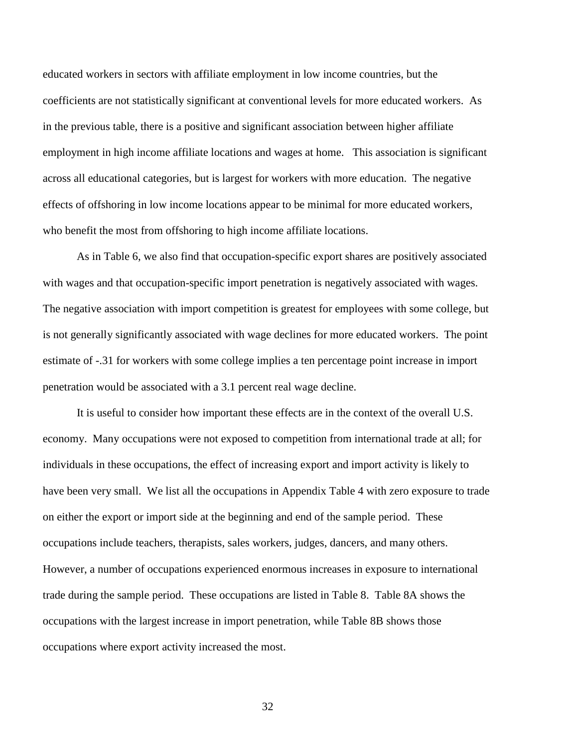educated workers in sectors with affiliate employment in low income countries, but the coefficients are not statistically significant at conventional levels for more educated workers. As in the previous table, there is a positive and significant association between higher affiliate employment in high income affiliate locations and wages at home. This association is significant across all educational categories, but is largest for workers with more education. The negative effects of offshoring in low income locations appear to be minimal for more educated workers, who benefit the most from offshoring to high income affiliate locations.

 As in Table 6, we also find that occupation-specific export shares are positively associated with wages and that occupation-specific import penetration is negatively associated with wages. The negative association with import competition is greatest for employees with some college, but is not generally significantly associated with wage declines for more educated workers. The point estimate of -.31 for workers with some college implies a ten percentage point increase in import penetration would be associated with a 3.1 percent real wage decline.

 It is useful to consider how important these effects are in the context of the overall U.S. economy. Many occupations were not exposed to competition from international trade at all; for individuals in these occupations, the effect of increasing export and import activity is likely to have been very small. We list all the occupations in Appendix Table 4 with zero exposure to trade on either the export or import side at the beginning and end of the sample period. These occupations include teachers, therapists, sales workers, judges, dancers, and many others. However, a number of occupations experienced enormous increases in exposure to international trade during the sample period. These occupations are listed in Table 8. Table 8A shows the occupations with the largest increase in import penetration, while Table 8B shows those occupations where export activity increased the most.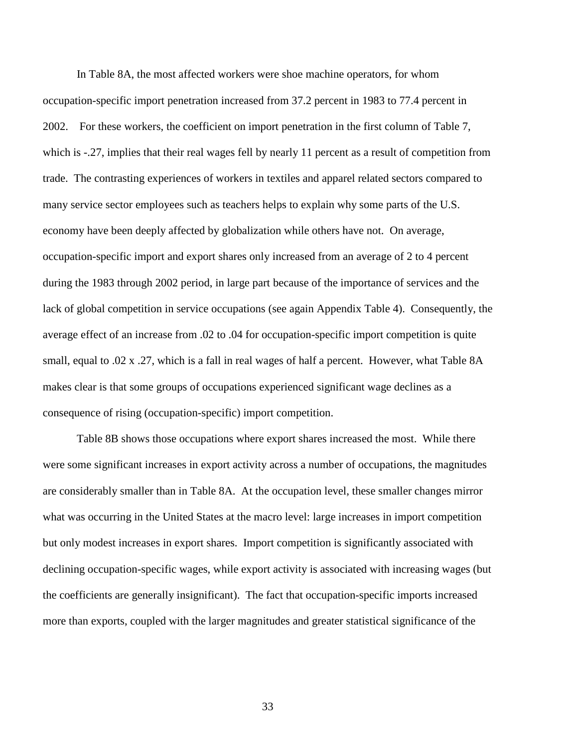In Table 8A, the most affected workers were shoe machine operators, for whom occupation-specific import penetration increased from 37.2 percent in 1983 to 77.4 percent in 2002. For these workers, the coefficient on import penetration in the first column of Table 7, which is -.27, implies that their real wages fell by nearly 11 percent as a result of competition from trade. The contrasting experiences of workers in textiles and apparel related sectors compared to many service sector employees such as teachers helps to explain why some parts of the U.S. economy have been deeply affected by globalization while others have not. On average, occupation-specific import and export shares only increased from an average of 2 to 4 percent during the 1983 through 2002 period, in large part because of the importance of services and the lack of global competition in service occupations (see again Appendix Table 4). Consequently, the average effect of an increase from .02 to .04 for occupation-specific import competition is quite small, equal to .02 x .27, which is a fall in real wages of half a percent. However, what Table 8A makes clear is that some groups of occupations experienced significant wage declines as a consequence of rising (occupation-specific) import competition.

Table 8B shows those occupations where export shares increased the most. While there were some significant increases in export activity across a number of occupations, the magnitudes are considerably smaller than in Table 8A. At the occupation level, these smaller changes mirror what was occurring in the United States at the macro level: large increases in import competition but only modest increases in export shares. Import competition is significantly associated with declining occupation-specific wages, while export activity is associated with increasing wages (but the coefficients are generally insignificant). The fact that occupation-specific imports increased more than exports, coupled with the larger magnitudes and greater statistical significance of the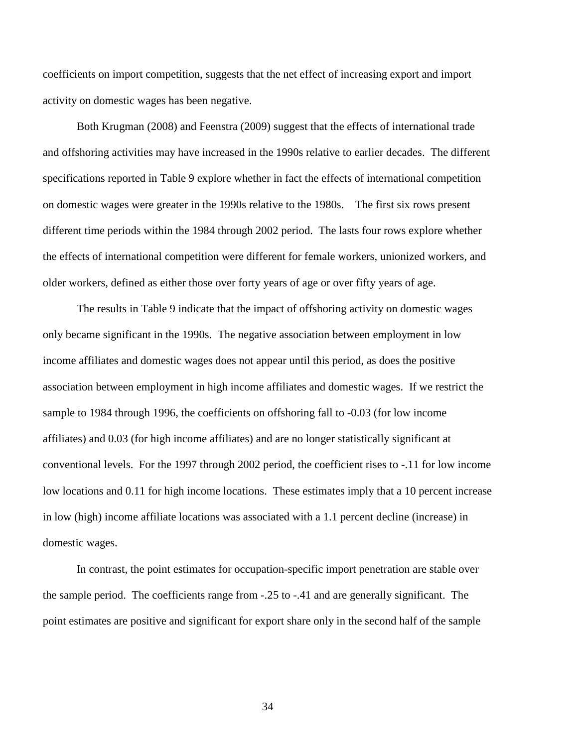coefficients on import competition, suggests that the net effect of increasing export and import activity on domestic wages has been negative.

 Both Krugman (2008) and Feenstra (2009) suggest that the effects of international trade and offshoring activities may have increased in the 1990s relative to earlier decades. The different specifications reported in Table 9 explore whether in fact the effects of international competition on domestic wages were greater in the 1990s relative to the 1980s. The first six rows present different time periods within the 1984 through 2002 period. The lasts four rows explore whether the effects of international competition were different for female workers, unionized workers, and older workers, defined as either those over forty years of age or over fifty years of age.

 The results in Table 9 indicate that the impact of offshoring activity on domestic wages only became significant in the 1990s. The negative association between employment in low income affiliates and domestic wages does not appear until this period, as does the positive association between employment in high income affiliates and domestic wages. If we restrict the sample to 1984 through 1996, the coefficients on offshoring fall to -0.03 (for low income affiliates) and 0.03 (for high income affiliates) and are no longer statistically significant at conventional levels. For the 1997 through 2002 period, the coefficient rises to -.11 for low income low locations and 0.11 for high income locations. These estimates imply that a 10 percent increase in low (high) income affiliate locations was associated with a 1.1 percent decline (increase) in domestic wages.

 In contrast, the point estimates for occupation-specific import penetration are stable over the sample period. The coefficients range from -.25 to -.41 and are generally significant. The point estimates are positive and significant for export share only in the second half of the sample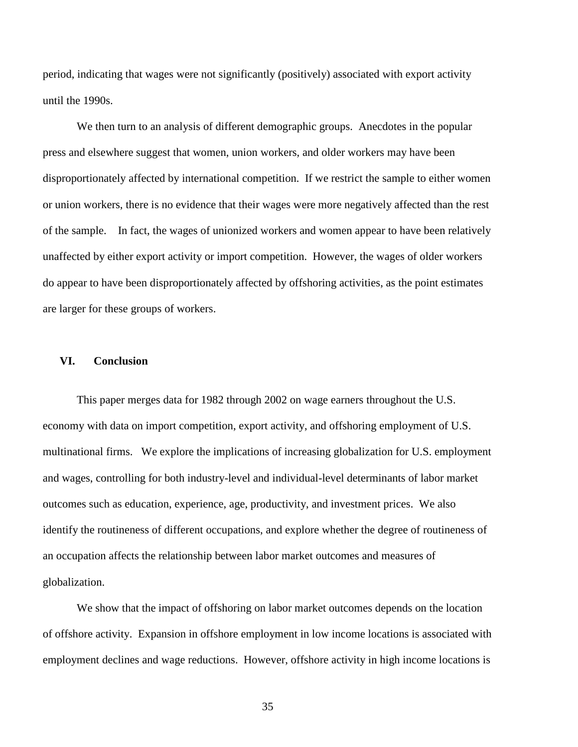period, indicating that wages were not significantly (positively) associated with export activity until the 1990s.

 We then turn to an analysis of different demographic groups. Anecdotes in the popular press and elsewhere suggest that women, union workers, and older workers may have been disproportionately affected by international competition. If we restrict the sample to either women or union workers, there is no evidence that their wages were more negatively affected than the rest of the sample. In fact, the wages of unionized workers and women appear to have been relatively unaffected by either export activity or import competition. However, the wages of older workers do appear to have been disproportionately affected by offshoring activities, as the point estimates are larger for these groups of workers.

### **VI. Conclusion**

This paper merges data for 1982 through 2002 on wage earners throughout the U.S. economy with data on import competition, export activity, and offshoring employment of U.S. multinational firms. We explore the implications of increasing globalization for U.S. employment and wages, controlling for both industry-level and individual-level determinants of labor market outcomes such as education, experience, age, productivity, and investment prices. We also identify the routineness of different occupations, and explore whether the degree of routineness of an occupation affects the relationship between labor market outcomes and measures of globalization.

We show that the impact of offshoring on labor market outcomes depends on the location of offshore activity. Expansion in offshore employment in low income locations is associated with employment declines and wage reductions. However, offshore activity in high income locations is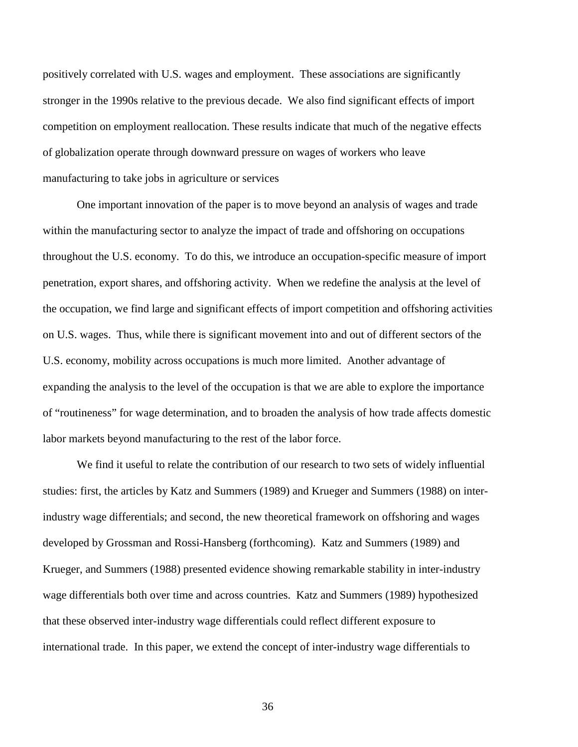positively correlated with U.S. wages and employment. These associations are significantly stronger in the 1990s relative to the previous decade. We also find significant effects of import competition on employment reallocation. These results indicate that much of the negative effects of globalization operate through downward pressure on wages of workers who leave manufacturing to take jobs in agriculture or services

One important innovation of the paper is to move beyond an analysis of wages and trade within the manufacturing sector to analyze the impact of trade and offshoring on occupations throughout the U.S. economy. To do this, we introduce an occupation-specific measure of import penetration, export shares, and offshoring activity. When we redefine the analysis at the level of the occupation, we find large and significant effects of import competition and offshoring activities on U.S. wages. Thus, while there is significant movement into and out of different sectors of the U.S. economy, mobility across occupations is much more limited. Another advantage of expanding the analysis to the level of the occupation is that we are able to explore the importance of "routineness" for wage determination, and to broaden the analysis of how trade affects domestic labor markets beyond manufacturing to the rest of the labor force.

 We find it useful to relate the contribution of our research to two sets of widely influential studies: first, the articles by Katz and Summers (1989) and Krueger and Summers (1988) on interindustry wage differentials; and second, the new theoretical framework on offshoring and wages developed by Grossman and Rossi-Hansberg (forthcoming). Katz and Summers (1989) and Krueger, and Summers (1988) presented evidence showing remarkable stability in inter-industry wage differentials both over time and across countries. Katz and Summers (1989) hypothesized that these observed inter-industry wage differentials could reflect different exposure to international trade. In this paper, we extend the concept of inter-industry wage differentials to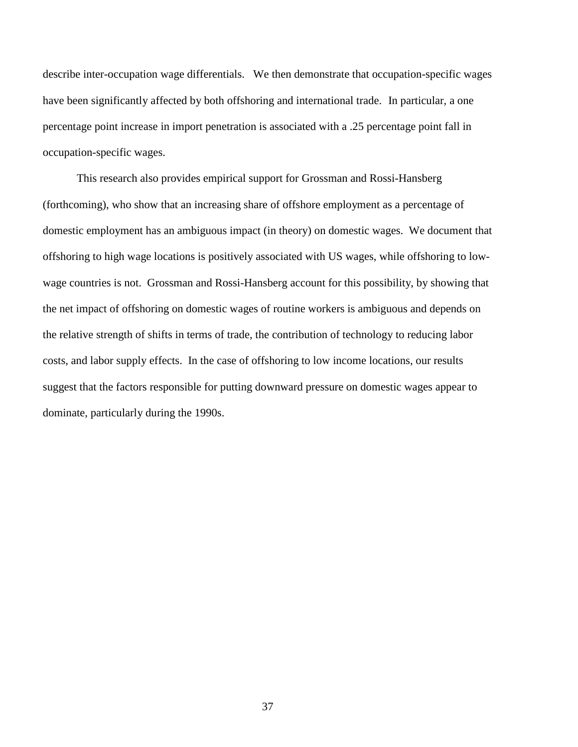describe inter-occupation wage differentials. We then demonstrate that occupation-specific wages have been significantly affected by both offshoring and international trade. In particular, a one percentage point increase in import penetration is associated with a .25 percentage point fall in occupation-specific wages.

 This research also provides empirical support for Grossman and Rossi-Hansberg (forthcoming), who show that an increasing share of offshore employment as a percentage of domestic employment has an ambiguous impact (in theory) on domestic wages. We document that offshoring to high wage locations is positively associated with US wages, while offshoring to lowwage countries is not. Grossman and Rossi-Hansberg account for this possibility, by showing that the net impact of offshoring on domestic wages of routine workers is ambiguous and depends on the relative strength of shifts in terms of trade, the contribution of technology to reducing labor costs, and labor supply effects. In the case of offshoring to low income locations, our results suggest that the factors responsible for putting downward pressure on domestic wages appear to dominate, particularly during the 1990s.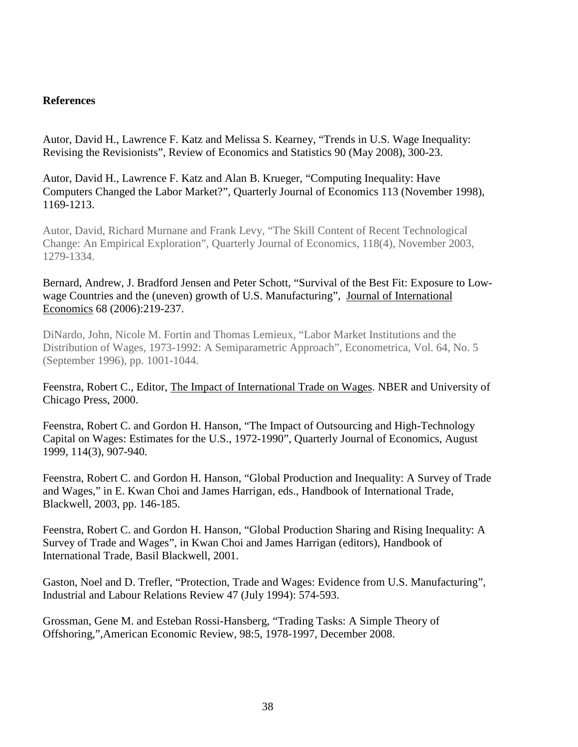### **References**

Autor, David H., Lawrence F. Katz and Melissa S. Kearney, "Trends in U.S. Wage Inequality: Revising the Revisionists", Review of Economics and Statistics 90 (May 2008), 300-23.

Autor, David H., Lawrence F. Katz and Alan B. Krueger, "Computing Inequality: Have Computers Changed the Labor Market?", Quarterly Journal of Economics 113 (November 1998), 1169-1213.

Autor, David, Richard Murnane and Frank Levy, "The Skill Content of Recent Technological Change: An Empirical Exploration", Quarterly Journal of Economics, 118(4), November 2003, 1279-1334.

# Bernard, Andrew, J. Bradford Jensen and Peter Schott, "Survival of the Best Fit: Exposure to Lowwage Countries and the (uneven) growth of U.S. Manufacturing", Journal of International Economics 68 (2006):219-237.

DiNardo, John, Nicole M. Fortin and Thomas Lemieux, "Labor Market Institutions and the Distribution of Wages, 1973-1992: A Semiparametric Approach", Econometrica, Vol. 64, No. 5 (September 1996), pp. 1001-1044.

Feenstra, Robert C., Editor, The Impact of International Trade on Wages. NBER and University of Chicago Press, 2000.

Feenstra, Robert C. and Gordon H. Hanson, "The Impact of Outsourcing and High-Technology Capital on Wages: Estimates for the U.S., 1972-1990", Quarterly Journal of Economics, August 1999, 114(3), 907-940.

Feenstra, Robert C. and Gordon H. Hanson, "Global Production and Inequality: A Survey of Trade and Wages," in E. Kwan Choi and James Harrigan, eds., Handbook of International Trade, Blackwell, 2003, pp. 146-185.

Feenstra, Robert C. and Gordon H. Hanson, "Global Production Sharing and Rising Inequality: A Survey of Trade and Wages", in Kwan Choi and James Harrigan (editors), Handbook of International Trade, Basil Blackwell, 2001.

Gaston, Noel and D. Trefler, "Protection, Trade and Wages: Evidence from U.S. Manufacturing", Industrial and Labour Relations Review 47 (July 1994): 574-593.

Grossman, Gene M. and Esteban Rossi-Hansberg, "Trading Tasks: A Simple Theory of Offshoring,",American Economic Review, 98:5, 1978-1997, December 2008.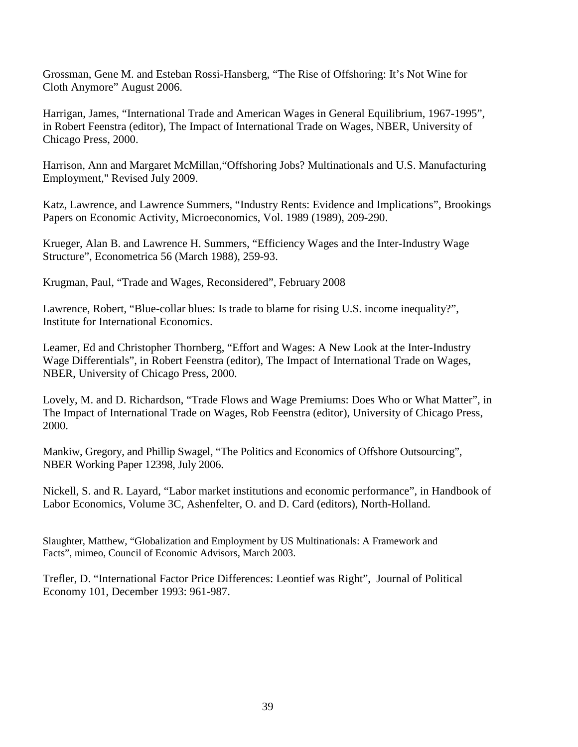Grossman, Gene M. and Esteban Rossi-Hansberg, "The Rise of Offshoring: It's Not Wine for Cloth Anymore" August 2006.

Harrigan, James, "International Trade and American Wages in General Equilibrium, 1967-1995", in Robert Feenstra (editor), The Impact of International Trade on Wages, NBER, University of Chicago Press, 2000.

Harrison, Ann and Margaret McMillan,"Offshoring Jobs? Multinationals and U.S. Manufacturing Employment," Revised July 2009.

Katz, Lawrence, and Lawrence Summers, "Industry Rents: Evidence and Implications", Brookings Papers on Economic Activity, Microeconomics, Vol. 1989 (1989), 209-290.

Krueger, Alan B. and Lawrence H. Summers, "Efficiency Wages and the Inter-Industry Wage Structure", Econometrica 56 (March 1988), 259-93.

Krugman, Paul, "Trade and Wages, Reconsidered", February 2008

Lawrence, Robert, "Blue-collar blues: Is trade to blame for rising U.S. income inequality?", Institute for International Economics.

Leamer, Ed and Christopher Thornberg, "Effort and Wages: A New Look at the Inter-Industry Wage Differentials", in Robert Feenstra (editor), The Impact of International Trade on Wages, NBER, University of Chicago Press, 2000.

Lovely, M. and D. Richardson, "Trade Flows and Wage Premiums: Does Who or What Matter", in The Impact of International Trade on Wages, Rob Feenstra (editor), University of Chicago Press, 2000.

Mankiw, Gregory, and Phillip Swagel, "The Politics and Economics of Offshore Outsourcing", NBER Working Paper 12398, July 2006.

Nickell, S. and R. Layard, "Labor market institutions and economic performance", in Handbook of Labor Economics, Volume 3C, Ashenfelter, O. and D. Card (editors), North-Holland.

Slaughter, Matthew, "Globalization and Employment by US Multinationals: A Framework and Facts", mimeo, Council of Economic Advisors, March 2003.

Trefler, D. "International Factor Price Differences: Leontief was Right", Journal of Political Economy 101, December 1993: 961-987.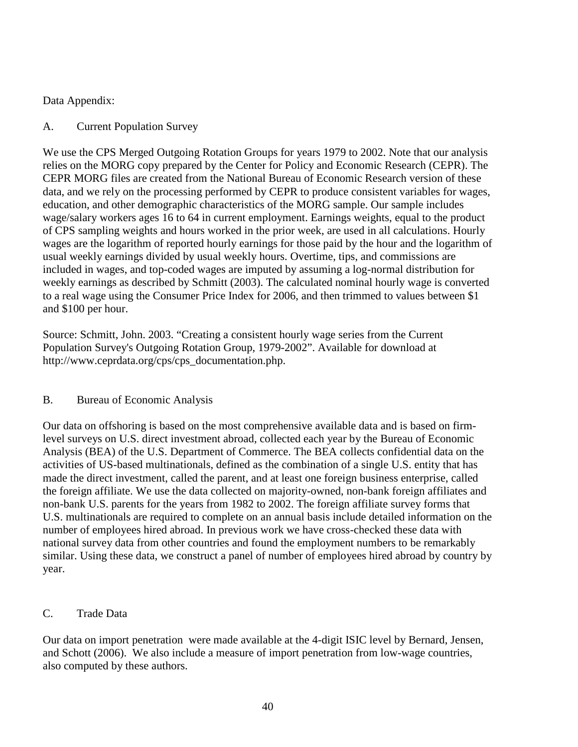# Data Appendix:

# A. Current Population Survey

We use the CPS Merged Outgoing Rotation Groups for years 1979 to 2002. Note that our analysis relies on the MORG copy prepared by the Center for Policy and Economic Research (CEPR). The CEPR MORG files are created from the National Bureau of Economic Research version of these data, and we rely on the processing performed by CEPR to produce consistent variables for wages, education, and other demographic characteristics of the MORG sample. Our sample includes wage/salary workers ages 16 to 64 in current employment. Earnings weights, equal to the product of CPS sampling weights and hours worked in the prior week, are used in all calculations. Hourly wages are the logarithm of reported hourly earnings for those paid by the hour and the logarithm of usual weekly earnings divided by usual weekly hours. Overtime, tips, and commissions are included in wages, and top-coded wages are imputed by assuming a log-normal distribution for weekly earnings as described by Schmitt (2003). The calculated nominal hourly wage is converted to a real wage using the Consumer Price Index for 2006, and then trimmed to values between \$1 and \$100 per hour.

Source: Schmitt, John. 2003. "Creating a consistent hourly wage series from the Current Population Survey's Outgoing Rotation Group, 1979-2002". Available for download at http://www.ceprdata.org/cps/cps\_documentation.php.

# B. Bureau of Economic Analysis

Our data on offshoring is based on the most comprehensive available data and is based on firmlevel surveys on U.S. direct investment abroad, collected each year by the Bureau of Economic Analysis (BEA) of the U.S. Department of Commerce. The BEA collects confidential data on the activities of US-based multinationals, defined as the combination of a single U.S. entity that has made the direct investment, called the parent, and at least one foreign business enterprise, called the foreign affiliate. We use the data collected on majority-owned, non-bank foreign affiliates and non-bank U.S. parents for the years from 1982 to 2002. The foreign affiliate survey forms that U.S. multinationals are required to complete on an annual basis include detailed information on the number of employees hired abroad. In previous work we have cross-checked these data with national survey data from other countries and found the employment numbers to be remarkably similar. Using these data, we construct a panel of number of employees hired abroad by country by year.

# C. Trade Data

Our data on import penetration were made available at the 4-digit ISIC level by Bernard, Jensen, and Schott (2006). We also include a measure of import penetration from low-wage countries, also computed by these authors.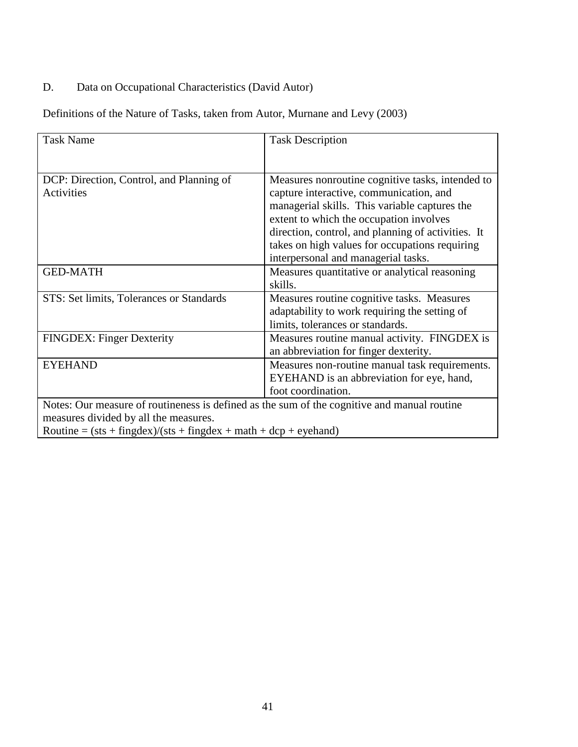# D. Data on Occupational Characteristics (David Autor)

Definitions of the Nature of Tasks, taken from Autor, Murnane and Levy (2003)

| <b>Task Name</b>                                                                            | <b>Task Description</b>                            |  |  |  |  |  |
|---------------------------------------------------------------------------------------------|----------------------------------------------------|--|--|--|--|--|
|                                                                                             |                                                    |  |  |  |  |  |
|                                                                                             |                                                    |  |  |  |  |  |
| DCP: Direction, Control, and Planning of                                                    | Measures nonroutine cognitive tasks, intended to   |  |  |  |  |  |
| <b>Activities</b>                                                                           | capture interactive, communication, and            |  |  |  |  |  |
|                                                                                             | managerial skills. This variable captures the      |  |  |  |  |  |
|                                                                                             | extent to which the occupation involves            |  |  |  |  |  |
|                                                                                             | direction, control, and planning of activities. It |  |  |  |  |  |
|                                                                                             | takes on high values for occupations requiring     |  |  |  |  |  |
|                                                                                             | interpersonal and managerial tasks.                |  |  |  |  |  |
| <b>GED-MATH</b>                                                                             | Measures quantitative or analytical reasoning      |  |  |  |  |  |
|                                                                                             | skills.                                            |  |  |  |  |  |
| STS: Set limits, Tolerances or Standards                                                    | Measures routine cognitive tasks. Measures         |  |  |  |  |  |
|                                                                                             | adaptability to work requiring the setting of      |  |  |  |  |  |
|                                                                                             | limits, tolerances or standards.                   |  |  |  |  |  |
| FINGDEX: Finger Dexterity                                                                   | Measures routine manual activity. FINGDEX is       |  |  |  |  |  |
|                                                                                             | an abbreviation for finger dexterity.              |  |  |  |  |  |
| <b>EYEHAND</b>                                                                              | Measures non-routine manual task requirements.     |  |  |  |  |  |
|                                                                                             | EYEHAND is an abbreviation for eye, hand,          |  |  |  |  |  |
|                                                                                             | foot coordination.                                 |  |  |  |  |  |
| Notes: Our measure of routineness is defined as the sum of the cognitive and manual routine |                                                    |  |  |  |  |  |
| measures divided by all the measures.                                                       |                                                    |  |  |  |  |  |
| Routine = $(sts + fingdex)/(sts + fingdex + math + dcp + eyehand)$                          |                                                    |  |  |  |  |  |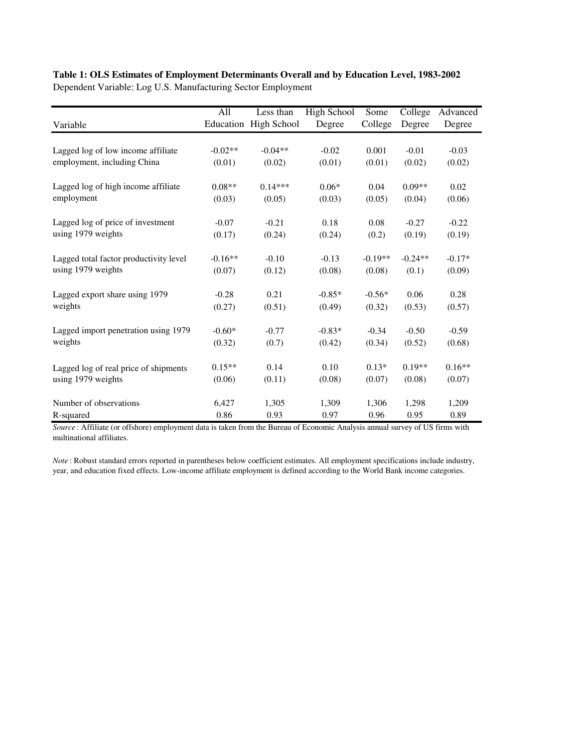# **Table 1: OLS Estimates of Employment Determinants Overall and by Education Level, 1983-2002**

Dependent Variable: Log U.S. Manufacturing Sector Employment

|                                        | All       | Less than             | <b>High School</b> | Some      | College   | Advanced |
|----------------------------------------|-----------|-----------------------|--------------------|-----------|-----------|----------|
| Variable                               |           | Education High School | Degree             | College   | Degree    | Degree   |
|                                        |           |                       |                    |           |           |          |
| Lagged log of low income affiliate     | $-0.02**$ | $-0.04**$             | $-0.02$            | 0.001     | $-0.01$   | $-0.03$  |
| employment, including China            | (0.01)    | (0.02)                | (0.01)             | (0.01)    | (0.02)    | (0.02)   |
| Lagged log of high income affiliate    | $0.08**$  | $0.14***$             | $0.06*$            | 0.04      | $0.09**$  | 0.02     |
| employment                             | (0.03)    | (0.05)                | (0.03)             | (0.05)    | (0.04)    | (0.06)   |
| Lagged log of price of investment      | $-0.07$   | $-0.21$               | 0.18               | 0.08      | $-0.27$   | $-0.22$  |
| using 1979 weights                     | (0.17)    | (0.24)                | (0.24)             | (0.2)     | (0.19)    | (0.19)   |
| Lagged total factor productivity level | $-0.16**$ | $-0.10$               | $-0.13$            | $-0.19**$ | $-0.24**$ | $-0.17*$ |
| using 1979 weights                     | (0.07)    | (0.12)                | (0.08)             | (0.08)    | (0.1)     | (0.09)   |
| Lagged export share using 1979         | $-0.28$   | 0.21                  | $-0.85*$           | $-0.56*$  | 0.06      | 0.28     |
| weights                                | (0.27)    | (0.51)                | (0.49)             | (0.32)    | (0.53)    | (0.57)   |
| Lagged import penetration using 1979   | $-0.60*$  | $-0.77$               | $-0.83*$           | $-0.34$   | $-0.50$   | $-0.59$  |
| weights                                | (0.32)    | (0.7)                 | (0.42)             | (0.34)    | (0.52)    | (0.68)   |
| Lagged log of real price of shipments  | $0.15**$  | 0.14                  | 0.10               | $0.13*$   | $0.19**$  | $0.16**$ |
| using 1979 weights                     | (0.06)    | (0.11)                | (0.08)             | (0.07)    | (0.08)    | (0.07)   |
| Number of observations                 | 6,427     | 1,305                 | 1,309              | 1,306     | 1,298     | 1,209    |
| R-squared                              | 0.86      | 0.93                  | 0.97               | 0.96      | 0.95      | 0.89     |

*Source* : Affiliate (or offshore) employment data is taken from the Bureau of Economic Analysis annual survey of US firms with multinational affiliates.

*Note* : Robust standard errors reported in parentheses below coefficient estimates. All employment specifications include industry, year, and education fixed effects. Low-income affiliate employment is defined according to the World Bank income categories.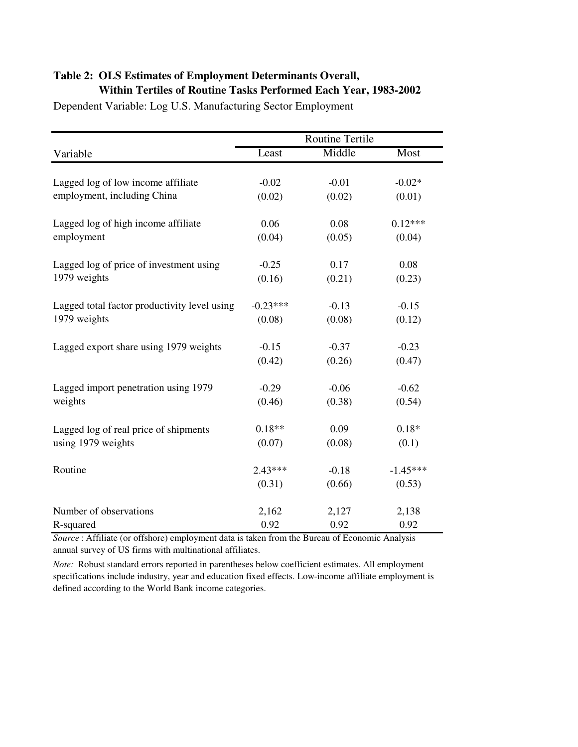# **Table 2: OLS Estimates of Employment Determinants Overall, Within Tertiles of Routine Tasks Performed Each Year, 1983-2002**

|                                              | <b>Routine Tertile</b> |         |            |  |  |  |
|----------------------------------------------|------------------------|---------|------------|--|--|--|
| Variable                                     | Least                  | Middle  | Most       |  |  |  |
| Lagged log of low income affiliate           | $-0.02$                | $-0.01$ | $-0.02*$   |  |  |  |
| employment, including China                  | (0.02)                 | (0.02)  | (0.01)     |  |  |  |
| Lagged log of high income affiliate          | 0.06                   | 0.08    | $0.12***$  |  |  |  |
| employment                                   | (0.04)                 | (0.05)  | (0.04)     |  |  |  |
| Lagged log of price of investment using      | $-0.25$                | 0.17    | 0.08       |  |  |  |
| 1979 weights                                 | (0.16)                 | (0.21)  | (0.23)     |  |  |  |
| Lagged total factor productivity level using | $-0.23***$             | $-0.13$ | $-0.15$    |  |  |  |
| 1979 weights                                 | (0.08)                 | (0.08)  | (0.12)     |  |  |  |
| Lagged export share using 1979 weights       | $-0.15$                | $-0.37$ | $-0.23$    |  |  |  |
|                                              | (0.42)                 | (0.26)  | (0.47)     |  |  |  |
| Lagged import penetration using 1979         | $-0.29$                | $-0.06$ | $-0.62$    |  |  |  |
| weights                                      | (0.46)                 | (0.38)  | (0.54)     |  |  |  |
| Lagged log of real price of shipments        | $0.18**$               | 0.09    | $0.18*$    |  |  |  |
| using 1979 weights                           | (0.07)                 | (0.08)  | (0.1)      |  |  |  |
| Routine                                      | $2.43***$              | $-0.18$ | $-1.45***$ |  |  |  |
|                                              | (0.31)                 | (0.66)  | (0.53)     |  |  |  |
| Number of observations                       | 2,162                  | 2,127   | 2,138      |  |  |  |
| R-squared                                    | 0.92                   | 0.92    | 0.92       |  |  |  |

Dependent Variable: Log U.S. Manufacturing Sector Employment

*Source* : Affiliate (or offshore) employment data is taken from the Bureau of Economic Analysis annual survey of US firms with multinational affiliates.

*Note:* Robust standard errors reported in parentheses below coefficient estimates. All employment specifications include industry, year and education fixed effects. Low-income affiliate employment is defined according to the World Bank income categories.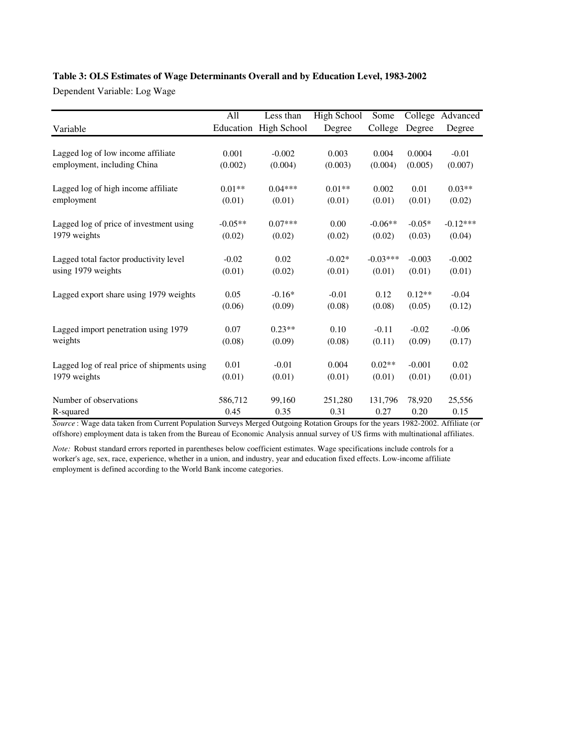### **Table 3: OLS Estimates of Wage Determinants Overall and by Education Level, 1983-2002**

Dependent Variable: Log Wage

|                                             | All       | Less than             | <b>High School</b> | Some       | College  | Advanced   |
|---------------------------------------------|-----------|-----------------------|--------------------|------------|----------|------------|
| Variable                                    |           | Education High School | Degree             | College    | Degree   | Degree     |
|                                             |           |                       |                    |            |          |            |
| Lagged log of low income affiliate          | 0.001     | $-0.002$              | 0.003              | 0.004      | 0.0004   | $-0.01$    |
| employment, including China                 | (0.002)   | (0.004)               | (0.003)            | (0.004)    | (0.005)  | (0.007)    |
| Lagged log of high income affiliate         | $0.01**$  | $0.04***$             | $0.01**$           | 0.002      | 0.01     | $0.03**$   |
| employment                                  | (0.01)    | (0.01)                | (0.01)             | (0.01)     | (0.01)   | (0.02)     |
| Lagged log of price of investment using     | $-0.05**$ | $0.07***$             | 0.00               | $-0.06**$  | $-0.05*$ | $-0.12***$ |
| 1979 weights                                | (0.02)    | (0.02)                | (0.02)             | (0.02)     | (0.03)   | (0.04)     |
| Lagged total factor productivity level      | $-0.02$   | 0.02                  | $-0.02*$           | $-0.03***$ | $-0.003$ | $-0.002$   |
| using 1979 weights                          | (0.01)    | (0.02)                | (0.01)             | (0.01)     | (0.01)   | (0.01)     |
| Lagged export share using 1979 weights      | 0.05      | $-0.16*$              | $-0.01$            | 0.12       | $0.12**$ | $-0.04$    |
|                                             | (0.06)    | (0.09)                | (0.08)             | (0.08)     | (0.05)   | (0.12)     |
| Lagged import penetration using 1979        | 0.07      | $0.23**$              | 0.10               | $-0.11$    | $-0.02$  | $-0.06$    |
| weights                                     | (0.08)    | (0.09)                | (0.08)             | (0.11)     | (0.09)   | (0.17)     |
| Lagged log of real price of shipments using | 0.01      | $-0.01$               | 0.004              | $0.02**$   | $-0.001$ | 0.02       |
| 1979 weights                                | (0.01)    | (0.01)                | (0.01)             | (0.01)     | (0.01)   | (0.01)     |
| Number of observations                      | 586,712   | 99,160                | 251,280            | 131,796    | 78,920   | 25,556     |
| R-squared                                   | 0.45      | 0.35                  | 0.31               | 0.27       | 0.20     | 0.15       |

*Source* : Wage data taken from Current Population Surveys Merged Outgoing Rotation Groups for the years 1982-2002. Affiliate (or offshore) employment data is taken from the Bureau of Economic Analysis annual survey of US firms with multinational affiliates.

*Note:* Robust standard errors reported in parentheses below coefficient estimates. Wage specifications include controls for a worker's age, sex, race, experience, whether in a union, and industry, year and education fixed effects. Low-income affiliate employment is defined according to the World Bank income categories.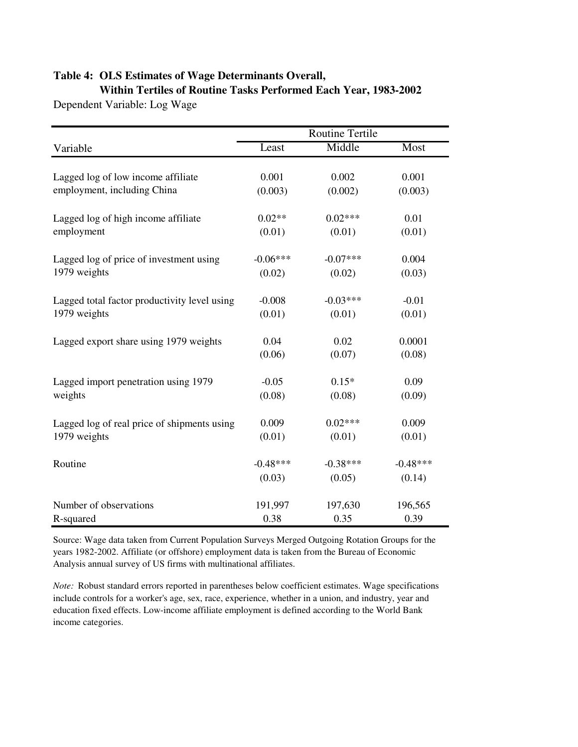# **Table 4: OLS Estimates of Wage Determinants Overall, Within Tertiles of Routine Tasks Performed Each Year, 1983-2002**

Dependent Variable: Log Wage

|                                              | <b>Routine Tertile</b> |            |            |
|----------------------------------------------|------------------------|------------|------------|
| Variable                                     | Least                  | Middle     | Most       |
|                                              |                        |            |            |
| Lagged log of low income affiliate           | 0.001                  | 0.002      | 0.001      |
| employment, including China                  | (0.003)                | (0.002)    | (0.003)    |
| Lagged log of high income affiliate          | $0.02**$               | $0.02***$  | 0.01       |
| employment                                   | (0.01)                 | (0.01)     | (0.01)     |
| Lagged log of price of investment using      | $-0.06***$             | $-0.07***$ | 0.004      |
| 1979 weights                                 | (0.02)                 | (0.02)     | (0.03)     |
| Lagged total factor productivity level using | $-0.008$               | $-0.03***$ | $-0.01$    |
| 1979 weights                                 |                        |            |            |
|                                              | (0.01)                 | (0.01)     | (0.01)     |
| Lagged export share using 1979 weights       | 0.04                   | 0.02       | 0.0001     |
|                                              | (0.06)                 | (0.07)     | (0.08)     |
| Lagged import penetration using 1979         | $-0.05$                | $0.15*$    | 0.09       |
| weights                                      | (0.08)                 | (0.08)     | (0.09)     |
| Lagged log of real price of shipments using  | 0.009                  | $0.02***$  | 0.009      |
| 1979 weights                                 | (0.01)                 | (0.01)     | (0.01)     |
|                                              |                        |            |            |
| Routine                                      | $-0.48***$             | $-0.38***$ | $-0.48***$ |
|                                              | (0.03)                 | (0.05)     | (0.14)     |
| Number of observations                       | 191,997                | 197,630    | 196,565    |
| R-squared                                    | 0.38                   | 0.35       | 0.39       |

Source: Wage data taken from Current Population Surveys Merged Outgoing Rotation Groups for the years 1982-2002. Affiliate (or offshore) employment data is taken from the Bureau of Economic Analysis annual survey of US firms with multinational affiliates.

*Note:* Robust standard errors reported in parentheses below coefficient estimates. Wage specifications include controls for a worker's age, sex, race, experience, whether in a union, and industry, year and education fixed effects. Low-income affiliate employment is defined according to the World Bank income categories.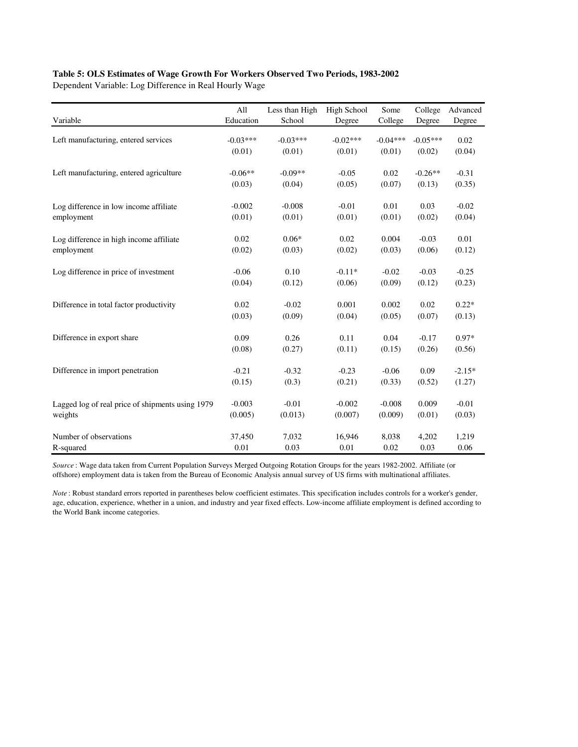### **Table 5: OLS Estimates of Wage Growth For Workers Observed Two Periods, 1983-2002**

Dependent Variable: Log Difference in Real Hourly Wage

|                                                  | All        | Less than High | High School | Some       | College    | Advanced |
|--------------------------------------------------|------------|----------------|-------------|------------|------------|----------|
| Variable                                         | Education  | School         | Degree      | College    | Degree     | Degree   |
| Left manufacturing, entered services             | $-0.03***$ | $-0.03***$     | $-0.02***$  | $-0.04***$ | $-0.05***$ | 0.02     |
|                                                  | (0.01)     | (0.01)         | (0.01)      | (0.01)     | (0.02)     | (0.04)   |
| Left manufacturing, entered agriculture          | $-0.06**$  | $-0.09**$      | $-0.05$     | 0.02       | $-0.26**$  | $-0.31$  |
|                                                  | (0.03)     | (0.04)         | (0.05)      | (0.07)     | (0.13)     | (0.35)   |
| Log difference in low income affiliate           | $-0.002$   | $-0.008$       | $-0.01$     | 0.01       | 0.03       | $-0.02$  |
| employment                                       | (0.01)     | (0.01)         | (0.01)      | (0.01)     | (0.02)     | (0.04)   |
| Log difference in high income affiliate          | 0.02       | $0.06*$        | 0.02        | 0.004      | $-0.03$    | 0.01     |
| employment                                       | (0.02)     | (0.03)         | (0.02)      | (0.03)     | (0.06)     | (0.12)   |
| Log difference in price of investment            | $-0.06$    | 0.10           | $-0.11*$    | $-0.02$    | $-0.03$    | $-0.25$  |
|                                                  | (0.04)     | (0.12)         | (0.06)      | (0.09)     | (0.12)     | (0.23)   |
| Difference in total factor productivity          | 0.02       | $-0.02$        | 0.001       | 0.002      | 0.02       | $0.22*$  |
|                                                  | (0.03)     | (0.09)         | (0.04)      | (0.05)     | (0.07)     | (0.13)   |
| Difference in export share                       | 0.09       | 0.26           | 0.11        | 0.04       | $-0.17$    | $0.97*$  |
|                                                  | (0.08)     | (0.27)         | (0.11)      | (0.15)     | (0.26)     | (0.56)   |
| Difference in import penetration                 | $-0.21$    | $-0.32$        | $-0.23$     | $-0.06$    | 0.09       | $-2.15*$ |
|                                                  | (0.15)     | (0.3)          | (0.21)      | (0.33)     | (0.52)     | (1.27)   |
| Lagged log of real price of shipments using 1979 | $-0.003$   | $-0.01$        | $-0.002$    | $-0.008$   | 0.009      | $-0.01$  |
| weights                                          | (0.005)    | (0.013)        | (0.007)     | (0.009)    | (0.01)     | (0.03)   |
| Number of observations                           | 37,450     | 7,032          | 16,946      | 8,038      | 4,202      | 1,219    |
| R-squared                                        | 0.01       | 0.03           | 0.01        | 0.02       | 0.03       | 0.06     |

*Source* : Wage data taken from Current Population Surveys Merged Outgoing Rotation Groups for the years 1982-2002. Affiliate (or offshore) employment data is taken from the Bureau of Economic Analysis annual survey of US firms with multinational affiliates.

*Note* : Robust standard errors reported in parentheses below coefficient estimates. This specification includes controls for a worker's gender, age, education, experience, whether in a union, and industry and year fixed effects. Low-income affiliate employment is defined according to the World Bank income categories.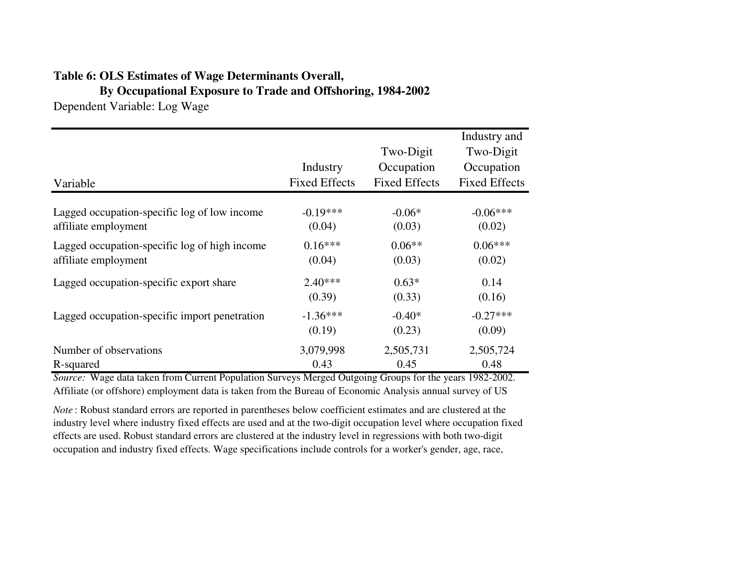# **Table 6: OLS Estimates of Wage Determinants Overall,**

**By Occupational Exposure to Trade and Offshoring, 1984-2002**

Dependent Variable: Log Wage

| Variable                                      | Industry<br><b>Fixed Effects</b> | Two-Digit<br>Occupation<br><b>Fixed Effects</b> | Industry and<br>Two-Digit<br>Occupation<br><b>Fixed Effects</b> |
|-----------------------------------------------|----------------------------------|-------------------------------------------------|-----------------------------------------------------------------|
| Lagged occupation-specific log of low income  | $-0.19***$                       | $-0.06*$                                        | $-0.06***$                                                      |
| affiliate employment                          | (0.04)                           | (0.03)                                          | (0.02)                                                          |
| Lagged occupation-specific log of high income | $0.16***$                        | $0.06**$                                        | $0.06***$                                                       |
| affiliate employment                          | (0.04)                           | (0.03)                                          | (0.02)                                                          |
| Lagged occupation-specific export share       | $2.40***$                        | $0.63*$                                         | 0.14                                                            |
|                                               | (0.39)                           | (0.33)                                          | (0.16)                                                          |
| Lagged occupation-specific import penetration | $-1.36***$                       | $-0.40*$                                        | $-0.27***$                                                      |
|                                               | (0.19)                           | (0.23)                                          | (0.09)                                                          |
| Number of observations                        | 3,079,998                        | 2,505,731                                       | 2,505,724                                                       |
| R-squared                                     | 0.43                             | 0.45                                            | 0.48                                                            |

*Source:* Wage data taken from Current Population Surveys Merged Outgoing Groups for the years 1982-2002. Affiliate (or offshore) employment data is taken from the Bureau of Economic Analysis annual survey of US

*Note* : Robust standard errors are reported in parentheses below coefficient estimates and are clustered at the industry level where industry fixed effects are used and at the two-digit occupation level where occupation fixed effects are used. Robust standard errors are clustered at the industry level in regressions with both two-digit occupation and industry fixed effects. Wage specifications include controls for a worker's gender, age, race,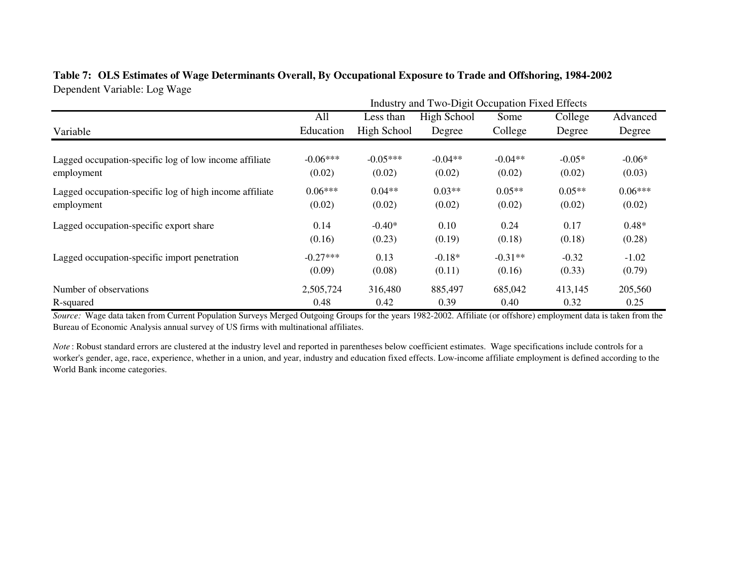# **Table 7: OLS Estimates of Wage Determinants Overall, By Occupational Exposure to Trade and Offshoring, 1984-2002**Dependent Variable: Log Wage

|                                                         |            | Industry and Two-Digit Occupation Fixed Effects |             |           |          |           |
|---------------------------------------------------------|------------|-------------------------------------------------|-------------|-----------|----------|-----------|
|                                                         | All        | Less than                                       | High School | Some      | College  | Advanced  |
| Variable                                                | Education  | High School                                     | Degree      | College   | Degree   | Degree    |
|                                                         |            |                                                 |             |           |          |           |
| Lagged occupation-specific log of low income affiliate  | $-0.06***$ | $-0.05***$                                      | $-0.04**$   | $-0.04**$ | $-0.05*$ | $-0.06*$  |
| employment                                              | (0.02)     | (0.02)                                          | (0.02)      | (0.02)    | (0.02)   | (0.03)    |
| Lagged occupation-specific log of high income affiliate | $0.06***$  | $0.04**$                                        | $0.03**$    | $0.05**$  | $0.05**$ | $0.06***$ |
| employment                                              | (0.02)     | (0.02)                                          | (0.02)      | (0.02)    | (0.02)   | (0.02)    |
| Lagged occupation-specific export share                 | 0.14       | $-0.40*$                                        | 0.10        | 0.24      | 0.17     | $0.48*$   |
|                                                         | (0.16)     | (0.23)                                          | (0.19)      | (0.18)    | (0.18)   | (0.28)    |
| Lagged occupation-specific import penetration           | $-0.27***$ | 0.13                                            | $-0.18*$    | $-0.31**$ | $-0.32$  | $-1.02$   |
|                                                         | (0.09)     | (0.08)                                          | (0.11)      | (0.16)    | (0.33)   | (0.79)    |
| Number of observations                                  | 2,505,724  | 316,480                                         | 885,497     | 685,042   | 413,145  | 205,560   |
| R-squared                                               | 0.48       | 0.42                                            | 0.39        | 0.40      | 0.32     | 0.25      |

*Source:* Wage data taken from Current Population Surveys Merged Outgoing Groups for the years 1982-2002. Affiliate (or offshore) employment data is taken from the Bureau of Economic Analysis annual survey of US firms with multinational affiliates.

*Note* : Robust standard errors are clustered at the industry level and reported in parentheses below coefficient estimates. Wage specifications include controls for a worker's gender, age, race, experience, whether in a union, and year, industry and education fixed effects. Low-income affiliate employment is defined according to the World Bank income categories.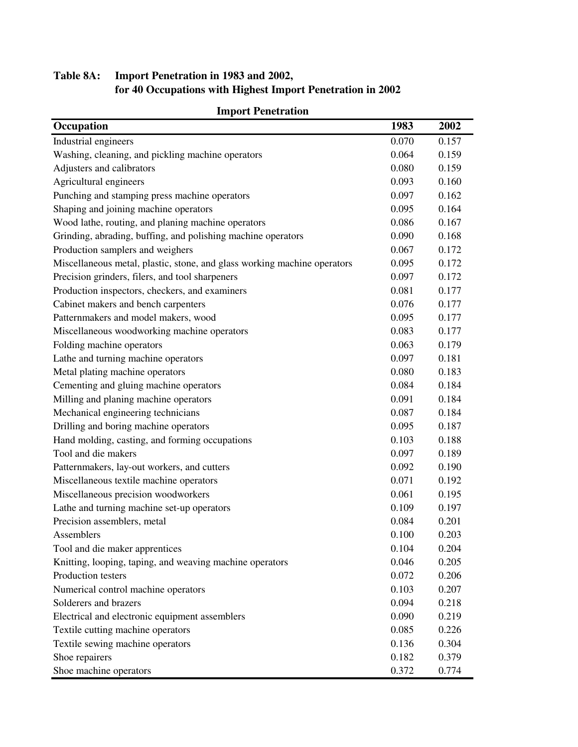# **Table 8A: Import Penetration in 1983 and 2002, for 40 Occupations with Highest Import Penetration in 2002**

| miport i thtu auon<br>Occupation                                         | 1983  | 2002  |
|--------------------------------------------------------------------------|-------|-------|
|                                                                          |       |       |
| Industrial engineers                                                     | 0.070 | 0.157 |
| Washing, cleaning, and pickling machine operators                        | 0.064 | 0.159 |
| Adjusters and calibrators                                                | 0.080 | 0.159 |
| Agricultural engineers                                                   | 0.093 | 0.160 |
| Punching and stamping press machine operators                            | 0.097 | 0.162 |
| Shaping and joining machine operators                                    | 0.095 | 0.164 |
| Wood lathe, routing, and planing machine operators                       | 0.086 | 0.167 |
| Grinding, abrading, buffing, and polishing machine operators             | 0.090 | 0.168 |
| Production samplers and weighers                                         | 0.067 | 0.172 |
| Miscellaneous metal, plastic, stone, and glass working machine operators | 0.095 | 0.172 |
| Precision grinders, filers, and tool sharpeners                          | 0.097 | 0.172 |
| Production inspectors, checkers, and examiners                           | 0.081 | 0.177 |
| Cabinet makers and bench carpenters                                      | 0.076 | 0.177 |
| Patternmakers and model makers, wood                                     | 0.095 | 0.177 |
| Miscellaneous woodworking machine operators                              | 0.083 | 0.177 |
| Folding machine operators                                                | 0.063 | 0.179 |
| Lathe and turning machine operators                                      | 0.097 | 0.181 |
| Metal plating machine operators                                          | 0.080 | 0.183 |
| Cementing and gluing machine operators                                   | 0.084 | 0.184 |
| Milling and planing machine operators                                    | 0.091 | 0.184 |
| Mechanical engineering technicians                                       | 0.087 | 0.184 |
| Drilling and boring machine operators                                    | 0.095 | 0.187 |
| Hand molding, casting, and forming occupations                           | 0.103 | 0.188 |
| Tool and die makers                                                      | 0.097 | 0.189 |
| Patternmakers, lay-out workers, and cutters                              | 0.092 | 0.190 |
| Miscellaneous textile machine operators                                  | 0.071 | 0.192 |
| Miscellaneous precision woodworkers                                      | 0.061 | 0.195 |
| Lathe and turning machine set-up operators                               | 0.109 | 0.197 |
| Precision assemblers, metal                                              | 0.084 | 0.201 |
| Assemblers                                                               | 0.100 | 0.203 |
| Tool and die maker apprentices                                           | 0.104 | 0.204 |
| Knitting, looping, taping, and weaving machine operators                 | 0.046 | 0.205 |
| Production testers                                                       | 0.072 | 0.206 |
| Numerical control machine operators                                      | 0.103 | 0.207 |
| Solderers and brazers                                                    | 0.094 | 0.218 |
| Electrical and electronic equipment assemblers                           | 0.090 | 0.219 |
| Textile cutting machine operators                                        | 0.085 | 0.226 |
| Textile sewing machine operators                                         | 0.136 | 0.304 |
| Shoe repairers                                                           | 0.182 | 0.379 |
| Shoe machine operators                                                   | 0.372 | 0.774 |

# **Import Penetration**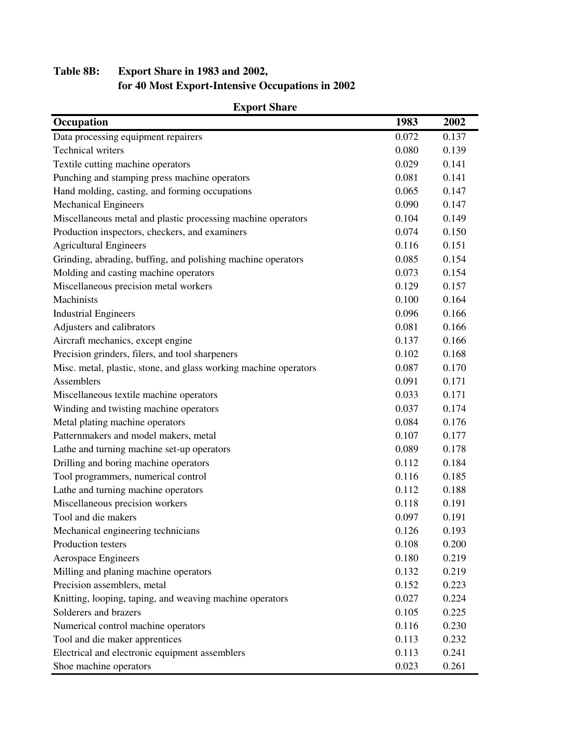# **Table 8B: Export Share in 1983 and 2002, for 40 Most Export-Intensive Occupations in 2002**

| Occupation                                                       | 1983  | 2002  |
|------------------------------------------------------------------|-------|-------|
| Data processing equipment repairers                              | 0.072 | 0.137 |
| <b>Technical writers</b>                                         | 0.080 | 0.139 |
| Textile cutting machine operators                                | 0.029 | 0.141 |
| Punching and stamping press machine operators                    | 0.081 | 0.141 |
| Hand molding, casting, and forming occupations                   | 0.065 | 0.147 |
| <b>Mechanical Engineers</b>                                      | 0.090 | 0.147 |
| Miscellaneous metal and plastic processing machine operators     | 0.104 | 0.149 |
| Production inspectors, checkers, and examiners                   | 0.074 | 0.150 |
| <b>Agricultural Engineers</b>                                    | 0.116 | 0.151 |
| Grinding, abrading, buffing, and polishing machine operators     | 0.085 | 0.154 |
| Molding and casting machine operators                            | 0.073 | 0.154 |
| Miscellaneous precision metal workers                            | 0.129 | 0.157 |
| Machinists                                                       | 0.100 | 0.164 |
| <b>Industrial Engineers</b>                                      | 0.096 | 0.166 |
| Adjusters and calibrators                                        | 0.081 | 0.166 |
| Aircraft mechanics, except engine                                | 0.137 | 0.166 |
| Precision grinders, filers, and tool sharpeners                  | 0.102 | 0.168 |
| Misc. metal, plastic, stone, and glass working machine operators | 0.087 | 0.170 |
| Assemblers                                                       | 0.091 | 0.171 |
| Miscellaneous textile machine operators                          | 0.033 | 0.171 |
| Winding and twisting machine operators                           | 0.037 | 0.174 |
| Metal plating machine operators                                  | 0.084 | 0.176 |
| Patternmakers and model makers, metal                            | 0.107 | 0.177 |
| Lathe and turning machine set-up operators                       | 0.089 | 0.178 |
| Drilling and boring machine operators                            | 0.112 | 0.184 |
| Tool programmers, numerical control                              | 0.116 | 0.185 |
| Lathe and turning machine operators                              | 0.112 | 0.188 |
| Miscellaneous precision workers                                  | 0.118 | 0.191 |
| Tool and die makers                                              | 0.097 | 0.191 |
| Mechanical engineering technicians                               | 0.126 | 0.193 |
| Production testers                                               | 0.108 | 0.200 |
| Aerospace Engineers                                              | 0.180 | 0.219 |
| Milling and planing machine operators                            | 0.132 | 0.219 |
| Precision assemblers, metal                                      | 0.152 | 0.223 |
| Knitting, looping, taping, and weaving machine operators         | 0.027 | 0.224 |
| Solderers and brazers                                            | 0.105 | 0.225 |
| Numerical control machine operators                              | 0.116 | 0.230 |
| Tool and die maker apprentices                                   | 0.113 | 0.232 |
| Electrical and electronic equipment assemblers                   | 0.113 | 0.241 |
| Shoe machine operators                                           | 0.023 | 0.261 |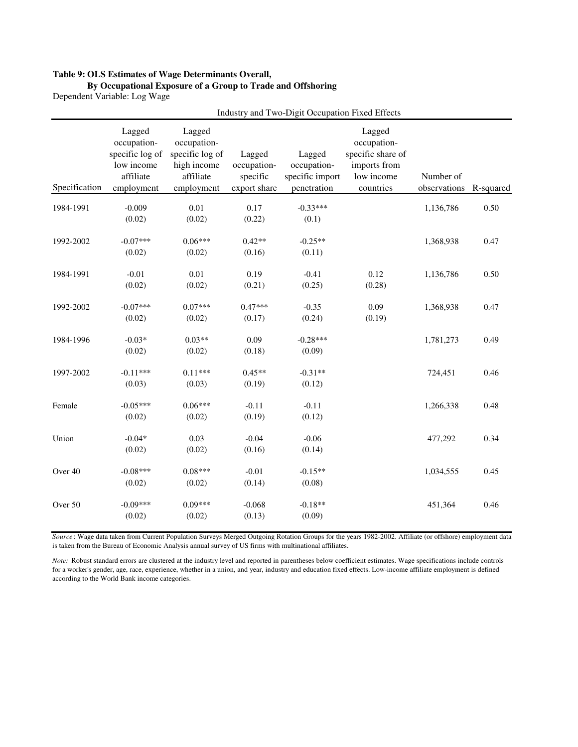#### **Table 9: OLS Estimates of Wage Determinants Overall,**

#### **By Occupational Exposure of a Group to Trade and Offshoring**

Dependent Variable: Log Wage

|               | Industry and Two-Digit Occupation Fixed Effects                                   |                                                                                    |                                                   |                                                         |                                                                                       |                           |           |
|---------------|-----------------------------------------------------------------------------------|------------------------------------------------------------------------------------|---------------------------------------------------|---------------------------------------------------------|---------------------------------------------------------------------------------------|---------------------------|-----------|
| Specification | Lagged<br>occupation-<br>specific log of<br>low income<br>affiliate<br>employment | Lagged<br>occupation-<br>specific log of<br>high income<br>affiliate<br>employment | Lagged<br>occupation-<br>specific<br>export share | Lagged<br>occupation-<br>specific import<br>penetration | Lagged<br>occupation-<br>specific share of<br>imports from<br>low income<br>countries | Number of<br>observations | R-squared |
| 1984-1991     | $-0.009$<br>(0.02)                                                                | 0.01<br>(0.02)                                                                     | 0.17<br>(0.22)                                    | $-0.33***$<br>(0.1)                                     |                                                                                       | 1,136,786                 | 0.50      |
| 1992-2002     | $-0.07***$<br>(0.02)                                                              | $0.06***$<br>(0.02)                                                                | $0.42**$<br>(0.16)                                | $-0.25**$<br>(0.11)                                     |                                                                                       | 1,368,938                 | 0.47      |
| 1984-1991     | $-0.01$<br>(0.02)                                                                 | 0.01<br>(0.02)                                                                     | 0.19<br>(0.21)                                    | $-0.41$<br>(0.25)                                       | 0.12<br>(0.28)                                                                        | 1,136,786                 | 0.50      |
| 1992-2002     | $-0.07***$<br>(0.02)                                                              | $0.07***$<br>(0.02)                                                                | $0.47***$<br>(0.17)                               | $-0.35$<br>(0.24)                                       | 0.09<br>(0.19)                                                                        | 1,368,938                 | 0.47      |
| 1984-1996     | $-0.03*$<br>(0.02)                                                                | $0.03**$<br>(0.02)                                                                 | 0.09<br>(0.18)                                    | $-0.28***$<br>(0.09)                                    |                                                                                       | 1,781,273                 | 0.49      |
| 1997-2002     | $-0.11***$<br>(0.03)                                                              | $0.11***$<br>(0.03)                                                                | $0.45**$<br>(0.19)                                | $-0.31**$<br>(0.12)                                     |                                                                                       | 724,451                   | 0.46      |
| Female        | $-0.05***$<br>(0.02)                                                              | $0.06***$<br>(0.02)                                                                | $-0.11$<br>(0.19)                                 | $-0.11$<br>(0.12)                                       |                                                                                       | 1,266,338                 | 0.48      |
| Union         | $-0.04*$<br>(0.02)                                                                | 0.03<br>(0.02)                                                                     | $-0.04$<br>(0.16)                                 | $-0.06$<br>(0.14)                                       |                                                                                       | 477,292                   | 0.34      |
| Over 40       | $-0.08***$<br>(0.02)                                                              | $0.08***$<br>(0.02)                                                                | $-0.01$<br>(0.14)                                 | $-0.15**$<br>(0.08)                                     |                                                                                       | 1,034,555                 | 0.45      |
| Over 50       | $-0.09***$<br>(0.02)                                                              | $0.09***$<br>(0.02)                                                                | $-0.068$<br>(0.13)                                | $-0.18**$<br>(0.09)                                     |                                                                                       | 451,364                   | 0.46      |

*Source* : Wage data taken from Current Population Surveys Merged Outgoing Rotation Groups for the years 1982-2002. Affiliate (or offshore) employment data is taken from the Bureau of Economic Analysis annual survey of US firms with multinational affiliates.

*Note:* Robust standard errors are clustered at the industry level and reported in parentheses below coefficient estimates. Wage specifications include controls for a worker's gender, age, race, experience, whether in a union, and year, industry and education fixed effects. Low-income affiliate employment is defined according to the World Bank income categories.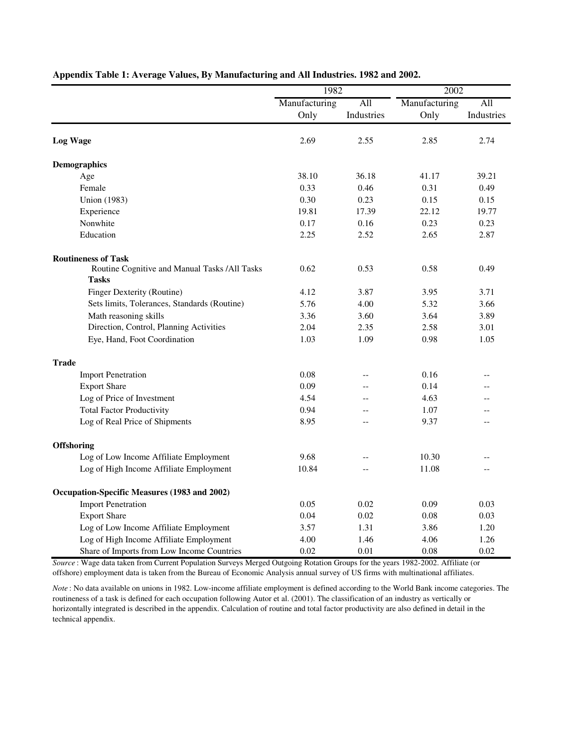|                                                               | 1982          |                | 2002          |            |  |
|---------------------------------------------------------------|---------------|----------------|---------------|------------|--|
|                                                               | Manufacturing | All            | Manufacturing | All        |  |
|                                                               | Only          | Industries     | Only          | Industries |  |
| <b>Log Wage</b>                                               | 2.69          | 2.55           | 2.85          | 2.74       |  |
| <b>Demographics</b>                                           |               |                |               |            |  |
| Age                                                           | 38.10         | 36.18          | 41.17         | 39.21      |  |
| Female                                                        | 0.33          | 0.46           | 0.31          | 0.49       |  |
| <b>Union</b> (1983)                                           | 0.30          | 0.23           | 0.15          | 0.15       |  |
| Experience                                                    | 19.81         | 17.39          | 22.12         | 19.77      |  |
| Nonwhite                                                      | 0.17          | 0.16           | 0.23          | 0.23       |  |
| Education                                                     | 2.25          | 2.52           | 2.65          | 2.87       |  |
| <b>Routineness of Task</b>                                    |               |                |               |            |  |
| Routine Cognitive and Manual Tasks /All Tasks<br><b>Tasks</b> | 0.62          | 0.53           | 0.58          | 0.49       |  |
| Finger Dexterity (Routine)                                    | 4.12          | 3.87           | 3.95          | 3.71       |  |
| Sets limits, Tolerances, Standards (Routine)                  | 5.76          | 4.00           | 5.32          | 3.66       |  |
| Math reasoning skills                                         | 3.36          | 3.60           | 3.64          | 3.89       |  |
| Direction, Control, Planning Activities                       | 2.04          | 2.35           | 2.58          | 3.01       |  |
| Eye, Hand, Foot Coordination                                  | 1.03          | 1.09           | 0.98          | 1.05       |  |
| <b>Trade</b>                                                  |               |                |               |            |  |
| <b>Import Penetration</b>                                     | 0.08          | $\overline{a}$ | 0.16          | $-$        |  |
| <b>Export Share</b>                                           | 0.09          | $-$            | 0.14          | $-$        |  |
| Log of Price of Investment                                    | 4.54          | $\overline{a}$ | 4.63          | $-$        |  |
| <b>Total Factor Productivity</b>                              | 0.94          | $\sim$         | 1.07          | $-$        |  |
| Log of Real Price of Shipments                                | 8.95          | $-$            | 9.37          | $-$        |  |
| <b>Offshoring</b>                                             |               |                |               |            |  |
| Log of Low Income Affiliate Employment                        | 9.68          | $-$            | 10.30         |            |  |
| Log of High Income Affiliate Employment                       | 10.84         |                | 11.08         |            |  |
| Occupation-Specific Measures (1983 and 2002)                  |               |                |               |            |  |
| <b>Import Penetration</b>                                     | 0.05          | 0.02           | 0.09          | 0.03       |  |
| <b>Export Share</b>                                           | 0.04          | 0.02           | 0.08          | 0.03       |  |
| Log of Low Income Affiliate Employment                        | 3.57          | 1.31           | 3.86          | 1.20       |  |
| Log of High Income Affiliate Employment                       | 4.00          | 1.46           | 4.06          | 1.26       |  |
| Share of Imports from Low Income Countries                    | 0.02          | 0.01           | 0.08          | 0.02       |  |

### **Appendix Table 1: Average Values, By Manufacturing and All Industries. 1982 and 2002.**

*Source* : Wage data taken from Current Population Surveys Merged Outgoing Rotation Groups for the years 1982-2002. Affiliate (or offshore) employment data is taken from the Bureau of Economic Analysis annual survey of US firms with multinational affiliates.

*Note* : No data available on unions in 1982. Low-income affiliate employment is defined according to the World Bank income categories. The routineness of a task is defined for each occupation following Autor et al. (2001). The classification of an industry as vertically or horizontally integrated is described in the appendix. Calculation of routine and total factor productivity are also defined in detail in the technical appendix.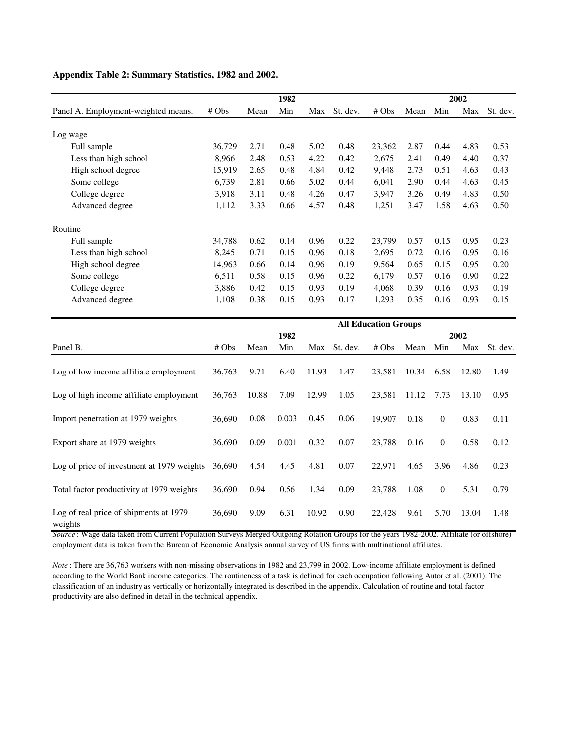|                                                   |        |       | 1982  |       |          |                             |       |                  | 2002  |          |
|---------------------------------------------------|--------|-------|-------|-------|----------|-----------------------------|-------|------------------|-------|----------|
| Panel A. Employment-weighted means.               | # Obs  | Mean  | Min   | Max   | St. dev. | #Obs                        | Mean  | Min              | Max   | St. dev. |
| Log wage                                          |        |       |       |       |          |                             |       |                  |       |          |
| Full sample                                       | 36,729 | 2.71  | 0.48  | 5.02  | 0.48     | 23,362                      | 2.87  | 0.44             | 4.83  | 0.53     |
| Less than high school                             | 8,966  | 2.48  | 0.53  | 4.22  | 0.42     | 2,675                       | 2.41  | 0.49             | 4.40  | 0.37     |
| High school degree                                | 15,919 | 2.65  | 0.48  | 4.84  | 0.42     | 9,448                       | 2.73  | 0.51             | 4.63  | 0.43     |
| Some college                                      | 6,739  | 2.81  | 0.66  | 5.02  | 0.44     | 6,041                       | 2.90  | 0.44             | 4.63  | 0.45     |
| College degree                                    | 3,918  | 3.11  | 0.48  | 4.26  | 0.47     | 3,947                       | 3.26  | 0.49             | 4.83  | 0.50     |
| Advanced degree                                   | 1,112  | 3.33  | 0.66  | 4.57  | 0.48     | 1,251                       | 3.47  | 1.58             | 4.63  | 0.50     |
| Routine                                           |        |       |       |       |          |                             |       |                  |       |          |
| Full sample                                       | 34,788 | 0.62  | 0.14  | 0.96  | 0.22     | 23,799                      | 0.57  | 0.15             | 0.95  | 0.23     |
| Less than high school                             | 8,245  | 0.71  | 0.15  | 0.96  | 0.18     | 2,695                       | 0.72  | 0.16             | 0.95  | 0.16     |
| High school degree                                | 14,963 | 0.66  | 0.14  | 0.96  | 0.19     | 9,564                       | 0.65  | 0.15             | 0.95  | 0.20     |
| Some college                                      | 6,511  | 0.58  | 0.15  | 0.96  | 0.22     | 6,179                       | 0.57  | 0.16             | 0.90  | 0.22     |
| College degree                                    | 3,886  | 0.42  | 0.15  | 0.93  | 0.19     | 4,068                       | 0.39  | 0.16             | 0.93  | 0.19     |
| Advanced degree                                   | 1,108  | 0.38  | 0.15  | 0.93  | 0.17     | 1,293                       | 0.35  | 0.16             | 0.93  | 0.15     |
|                                                   |        |       |       |       |          | <b>All Education Groups</b> |       |                  |       |          |
|                                                   |        |       | 1982  |       |          |                             |       |                  | 2002  |          |
| Panel B.                                          | # Obs  | Mean  | Min   | Max   | St. dev. | # Obs                       | Mean  | Min              | Max   | St. dev. |
| Log of low income affiliate employment            | 36,763 | 9.71  | 6.40  | 11.93 | 1.47     | 23,581                      | 10.34 | 6.58             | 12.80 | 1.49     |
| Log of high income affiliate employment           | 36,763 | 10.88 | 7.09  | 12.99 | 1.05     | 23,581                      | 11.12 | 7.73             | 13.10 | 0.95     |
| Import penetration at 1979 weights                | 36,690 | 0.08  | 0.003 | 0.45  | 0.06     | 19,907                      | 0.18  | $\boldsymbol{0}$ | 0.83  | 0.11     |
| Export share at 1979 weights                      | 36,690 | 0.09  | 0.001 | 0.32  | 0.07     | 23,788                      | 0.16  | $\boldsymbol{0}$ | 0.58  | 0.12     |
| Log of price of investment at 1979 weights        | 36,690 | 4.54  | 4.45  | 4.81  | 0.07     | 22,971                      | 4.65  | 3.96             | 4.86  | 0.23     |
| Total factor productivity at 1979 weights         | 36,690 | 0.94  | 0.56  | 1.34  | 0.09     | 23,788                      | 1.08  | $\boldsymbol{0}$ | 5.31  | 0.79     |
| Log of real price of shipments at 1979<br>weights | 36,690 | 9.09  | 6.31  | 10.92 | 0.90     | 22,428                      | 9.61  | 5.70             | 13.04 | 1.48     |

### **Appendix Table 2: Summary Statistics, 1982 and 2002.**

*Source* : Wage data taken from Current Population Surveys Merged Outgoing Rotation Groups for the years 1982-2002. Affiliate (or offshore) employment data is taken from the Bureau of Economic Analysis annual survey of US firms with multinational affiliates.

*Note* : There are 36,763 workers with non-missing observations in 1982 and 23,799 in 2002. Low-income affiliate employment is defined according to the World Bank income categories. The routineness of a task is defined for each occupation following Autor et al. (2001). The classification of an industry as vertically or horizontally integrated is described in the appendix. Calculation of routine and total factor productivity are also defined in detail in the technical appendix.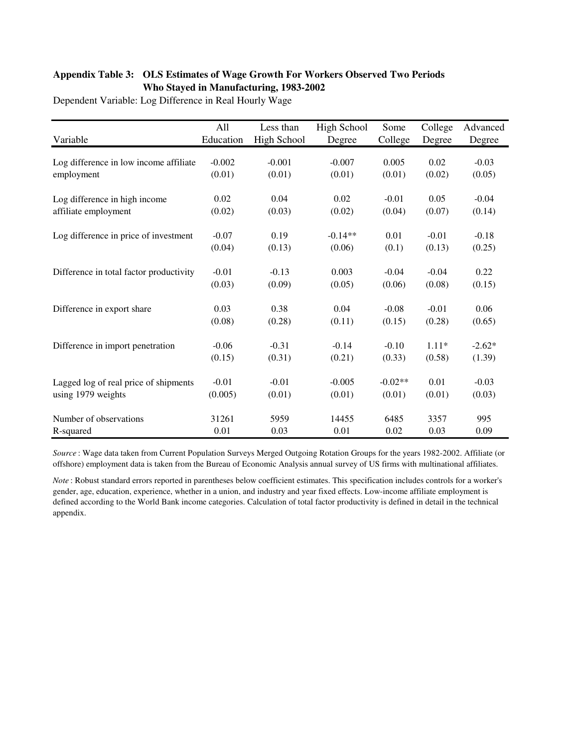### **Appendix Table 3: OLS Estimates of Wage Growth For Workers Observed Two Periods Who Stayed in Manufacturing, 1983-2002**

Dependent Variable: Log Difference in Real Hourly Wage

|                                         | All       | Less than   | High School | Some      | College | Advanced |
|-----------------------------------------|-----------|-------------|-------------|-----------|---------|----------|
| Variable                                | Education | High School | Degree      | College   | Degree  | Degree   |
|                                         |           |             |             |           |         |          |
| Log difference in low income affiliate  | $-0.002$  | $-0.001$    | $-0.007$    | 0.005     | 0.02    | $-0.03$  |
| employment                              | (0.01)    | (0.01)      | (0.01)      | (0.01)    | (0.02)  | (0.05)   |
| Log difference in high income           | 0.02      | 0.04        | 0.02        | $-0.01$   | 0.05    | $-0.04$  |
| affiliate employment                    | (0.02)    | (0.03)      | (0.02)      | (0.04)    | (0.07)  | (0.14)   |
| Log difference in price of investment   | $-0.07$   | 0.19        | $-0.14**$   | 0.01      | $-0.01$ | $-0.18$  |
|                                         |           |             |             |           |         |          |
|                                         | (0.04)    | (0.13)      | (0.06)      | (0.1)     | (0.13)  | (0.25)   |
| Difference in total factor productivity | $-0.01$   | $-0.13$     | 0.003       | $-0.04$   | $-0.04$ | 0.22     |
|                                         | (0.03)    | (0.09)      | (0.05)      | (0.06)    | (0.08)  | (0.15)   |
| Difference in export share              | 0.03      | 0.38        | 0.04        | $-0.08$   | $-0.01$ | 0.06     |
|                                         | (0.08)    | (0.28)      | (0.11)      | (0.15)    | (0.28)  | (0.65)   |
|                                         |           |             |             |           |         |          |
| Difference in import penetration        | $-0.06$   | $-0.31$     | $-0.14$     | $-0.10$   | $1.11*$ | $-2.62*$ |
|                                         | (0.15)    | (0.31)      | (0.21)      | (0.33)    | (0.58)  | (1.39)   |
| Lagged log of real price of shipments   | $-0.01$   | $-0.01$     | $-0.005$    | $-0.02**$ | 0.01    | $-0.03$  |
| using 1979 weights                      | (0.005)   | (0.01)      | (0.01)      | (0.01)    | (0.01)  | (0.03)   |
|                                         |           |             |             |           |         |          |
| Number of observations                  | 31261     | 5959        | 14455       | 6485      | 3357    | 995      |
| R-squared                               | 0.01      | 0.03        | 0.01        | 0.02      | 0.03    | 0.09     |

*Source* : Wage data taken from Current Population Surveys Merged Outgoing Rotation Groups for the years 1982-2002. Affiliate (or offshore) employment data is taken from the Bureau of Economic Analysis annual survey of US firms with multinational affiliates.

*Note* : Robust standard errors reported in parentheses below coefficient estimates. This specification includes controls for a worker's gender, age, education, experience, whether in a union, and industry and year fixed effects. Low-income affiliate employment is defined according to the World Bank income categories. Calculation of total factor productivity is defined in detail in the technical appendix.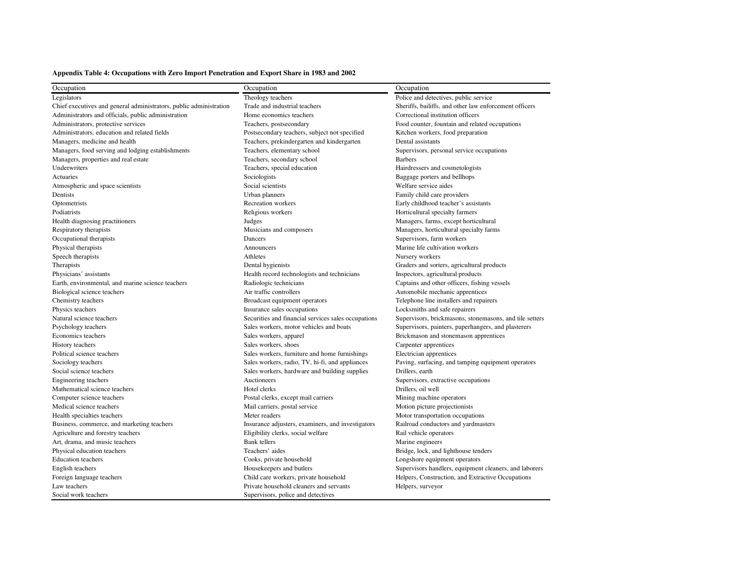### **Appendix Table 4: Occupations with Zero Import Penetration and Export Share in 1983 and 2002**

| Occupation                                                         | Occupation                                          | Occupation                                              |  |  |  |
|--------------------------------------------------------------------|-----------------------------------------------------|---------------------------------------------------------|--|--|--|
| Legislators                                                        | Theology teachers                                   | Police and detectives, public service                   |  |  |  |
| Chief executives and general administrators, public administration | Trade and industrial teachers                       | Sheriffs, bailiffs, and other law enforcement officers  |  |  |  |
| Administrators and officials, public administration                | Home economics teachers                             | Correctional institution officers                       |  |  |  |
| Administrators, protective services                                | Teachers, postsecondary                             | Food counter, fountain and related occupations          |  |  |  |
| Administrators, education and related fields                       | Postsecondary teachers, subject not specified       | Kitchen workers, food preparation                       |  |  |  |
| Managers, medicine and health                                      | Teachers, prekindergarten and kindergarten          | Dental assistants                                       |  |  |  |
| Managers, food serving and lodging establishments                  | Teachers, elementary school                         | Supervisors, personal service occupations               |  |  |  |
| Managers, properties and real estate                               | Teachers, secondary school                          | <b>Barbers</b>                                          |  |  |  |
| Underwriters                                                       | Teachers, special education                         | Hairdressers and cosmetologists                         |  |  |  |
| Actuaries                                                          | Sociologists                                        | Baggage porters and bellhops                            |  |  |  |
| Atmospheric and space scientists                                   | Social scientists                                   | Welfare service aides                                   |  |  |  |
| Dentists                                                           | Urban planners                                      | Family child care providers                             |  |  |  |
| Optometrists                                                       | Recreation workers                                  | Early childhood teacher's assistants                    |  |  |  |
| Podiatrists                                                        | Religious workers                                   | Horticultural specialty farmers                         |  |  |  |
| Health diagnosing practitioners                                    | Judges                                              | Managers, farms, except horticultural                   |  |  |  |
| Respiratory therapists                                             | Musicians and composers                             | Managers, horticultural specialty farms                 |  |  |  |
| Occupational therapists                                            | Dancers                                             | Supervisors, farm workers                               |  |  |  |
| Physical therapists                                                | Announcers                                          | Marine life cultivation workers                         |  |  |  |
| Speech therapists                                                  | Athletes                                            | Nursery workers                                         |  |  |  |
| Therapists                                                         | Dental hygienists                                   | Graders and sorters, agricultural products              |  |  |  |
| Physicians' assistants                                             | Health record technologists and technicians         | Inspectors, agricultural products                       |  |  |  |
| Earth, environmental, and marine science teachers                  | Radiologic technicians                              | Captains and other officers, fishing vessels            |  |  |  |
| Biological science teachers                                        | Air traffic controllers                             | Automobile mechanic apprentices                         |  |  |  |
| Chemistry teachers                                                 | Broadcast equipment operators                       | Telephone line installers and repairers                 |  |  |  |
| Physics teachers                                                   | Insurance sales occupations                         | Locksmiths and safe repairers                           |  |  |  |
| Natural science teachers                                           | Securities and financial services sales occupations | Supervisors, brickmasons, stonemasons, and tile setters |  |  |  |
| Psychology teachers                                                | Sales workers, motor vehicles and boats             | Supervisors, painters, paperhangers, and plasterers     |  |  |  |
| Economics teachers                                                 | Sales workers, apparel                              | Brickmason and stonemason apprentices                   |  |  |  |
| History teachers                                                   | Sales workers, shoes                                | Carpenter apprentices                                   |  |  |  |
| Political science teachers                                         | Sales workers, furniture and home furnishings       | Electrician apprentices                                 |  |  |  |
| Sociology teachers                                                 | Sales workers, radio, TV, hi-fi, and appliances     | Paving, surfacing, and tamping equipment operators      |  |  |  |
| Social science teachers                                            | Sales workers, hardware and building supplies       | Drillers, earth                                         |  |  |  |
| Engineering teachers                                               | Auctioneers                                         | Supervisors, extractive occupations                     |  |  |  |
| Mathematical science teachers                                      | Hotel clerks                                        | Drillers, oil well                                      |  |  |  |
| Computer science teachers                                          | Postal clerks, except mail carriers                 | Mining machine operators                                |  |  |  |
| Medical science teachers                                           | Mail carriers, postal service                       | Motion picture projectionists                           |  |  |  |
| Health specialties teachers                                        | Meter readers                                       | Motor transportation occupations                        |  |  |  |
| Business, commerce, and marketing teachers                         | Insurance adjusters, examiners, and investigators   | Railroad conductors and yardmasters                     |  |  |  |
| Agriculture and forestry teachers                                  | Eligibility clerks, social welfare                  | Rail vehicle operators                                  |  |  |  |
| Art, drama, and music teachers                                     | <b>Bank</b> tellers                                 | Marine engineers                                        |  |  |  |
| Physical education teachers                                        | Teachers' aides                                     | Bridge, lock, and lighthouse tenders                    |  |  |  |
| <b>Education</b> teachers                                          | Cooks, private household                            | Longshore equipment operators                           |  |  |  |
| English teachers                                                   | Housekeepers and butlers                            | Supervisors handlers, equipment cleaners, and laborers  |  |  |  |
| Foreign language teachers                                          | Child care workers, private household               | Helpers, Construction, and Extractive Occupations       |  |  |  |
| Law teachers                                                       | Private household cleaners and servants             | Helpers, surveyor                                       |  |  |  |
| Social work teachers                                               | Supervisors, police and detectives                  |                                                         |  |  |  |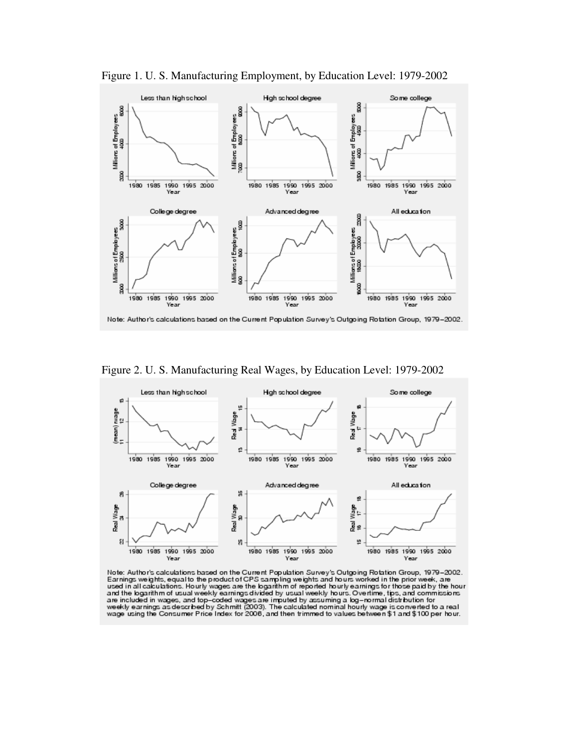

Figure 1. U. S. Manufacturing Employment, by Education Level: 1979-2002

Figure 2. U. S. Manufacturing Real Wages, by Education Level: 1979-2002



Note: Author's calculations based on the Current Population Survey's Outgoing Rotation Group, 1979–2002.<br>Earnings weights, equal to the product of CPS sampling weights and hours worked in the prior week, are used in all c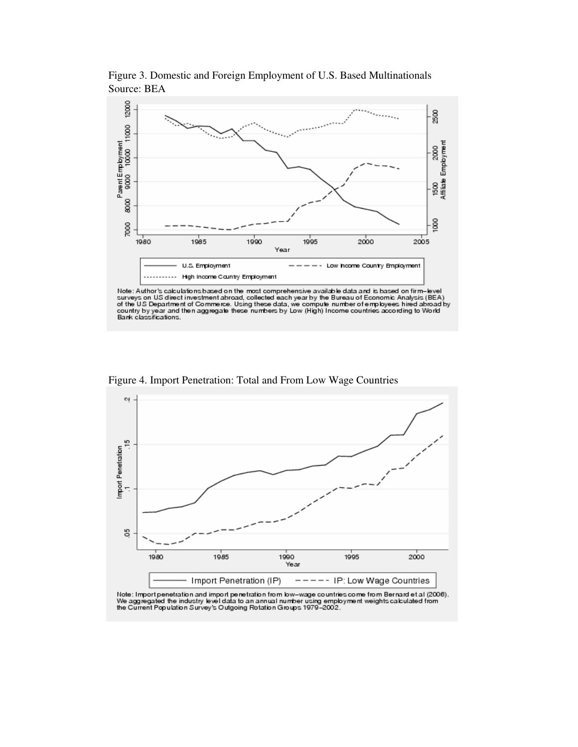

Figure 3. Domestic and Foreign Employment of U.S. Based Multinationals Source: BEA

Note: Author's calculations based on the most comprehensive available data and is based on firm-level<br>surveys on US direct investment abroad, collected each year by the Bureau of Economic Analysis (BEA)<br>of the US Departmen



Figure 4. Import Penetration: Total and From Low Wage Countries

Note: Import penetration and import penetration from low-wage countries come from Bernard et al (2006).<br>We aggregated the industry level data to an annual number using employment weights calculated from<br>the Current Populat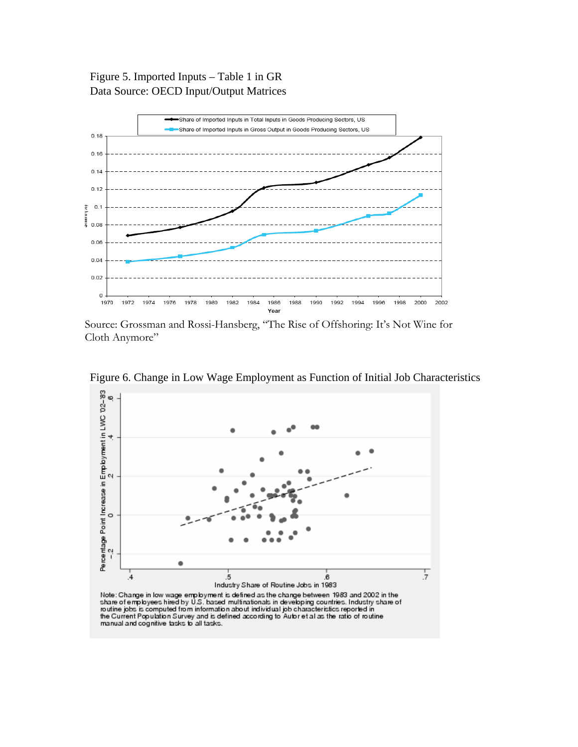Figure 5. Imported Inputs – Table 1 in GR Data Source: OECD Input/Output Matrices



Source: Grossman and Rossi-Hansberg, "The Rise of Offshoring: It's Not Wine for Cloth Anymore"



Figure 6. Change in Low Wage Employment as Function of Initial Job Characteristics

the Current Population Survey and is defined according to Autor et al as the ratio of routine manual and cognitive tasks to all tasks.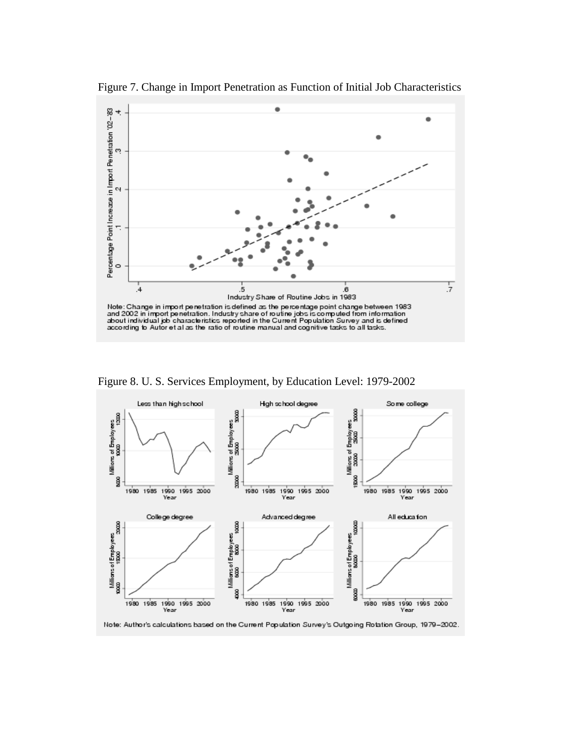

Figure 7. Change in Import Penetration as Function of Initial Job Characteristics

Figure 8. U. S. Services Employment, by Education Level: 1979-2002



Note: Author's calculations based on the Current Population Survey's Outgoing Rotation Group, 1979-2002.